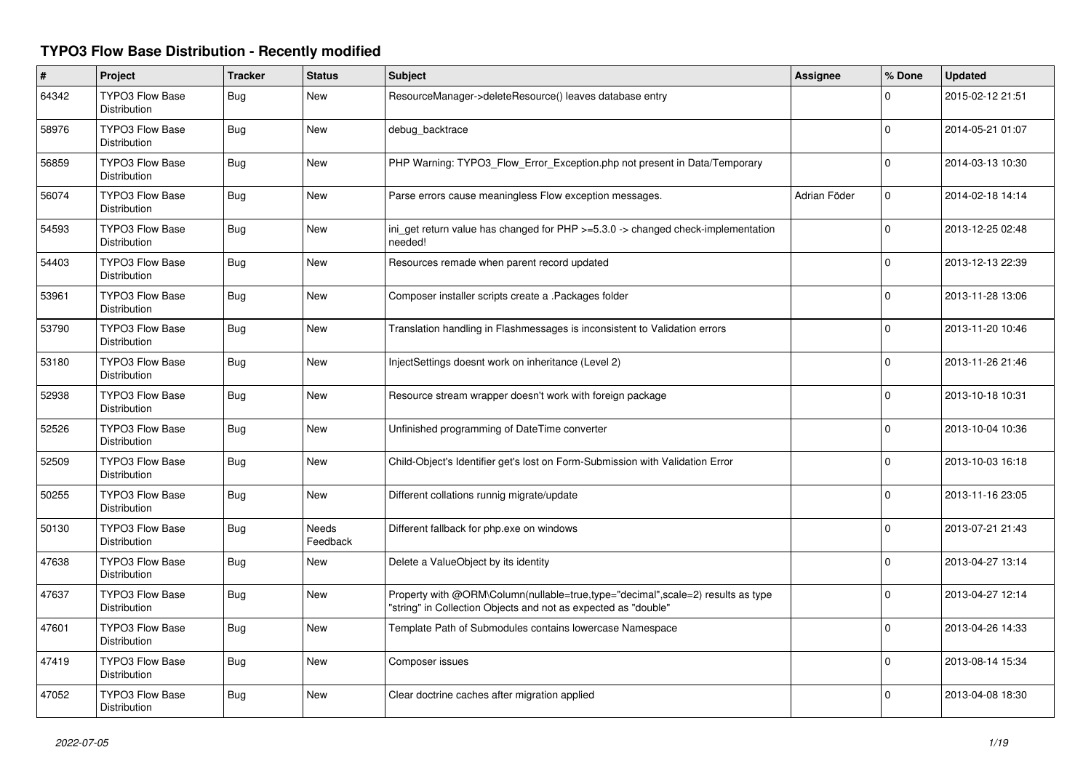## **TYPO3 Flow Base Distribution - Recently modified**

| $\pmb{\#}$ | Project                                       | <b>Tracker</b> | <b>Status</b>            | <b>Subject</b>                                                                                                                                    | Assignee     | % Done         | <b>Updated</b>   |
|------------|-----------------------------------------------|----------------|--------------------------|---------------------------------------------------------------------------------------------------------------------------------------------------|--------------|----------------|------------------|
| 64342      | <b>TYPO3 Flow Base</b><br>Distribution        | Bug            | New                      | ResourceManager->deleteResource() leaves database entry                                                                                           |              | $\Omega$       | 2015-02-12 21:51 |
| 58976      | <b>TYPO3 Flow Base</b><br>Distribution        | Bug            | New                      | debug backtrace                                                                                                                                   |              | $\Omega$       | 2014-05-21 01:07 |
| 56859      | <b>TYPO3 Flow Base</b><br>Distribution        | Bug            | <b>New</b>               | PHP Warning: TYPO3_Flow_Error_Exception.php not present in Data/Temporary                                                                         |              | 0              | 2014-03-13 10:30 |
| 56074      | <b>TYPO3 Flow Base</b><br>Distribution        | Bug            | <b>New</b>               | Parse errors cause meaningless Flow exception messages.                                                                                           | Adrian Föder | 0              | 2014-02-18 14:14 |
| 54593      | <b>TYPO3 Flow Base</b><br>Distribution        | <b>Bug</b>     | <b>New</b>               | ini_get return value has changed for PHP >=5.3.0 -> changed check-implementation<br>needed!                                                       |              | $\mathbf{0}$   | 2013-12-25 02:48 |
| 54403      | <b>TYPO3 Flow Base</b><br>Distribution        | <b>Bug</b>     | <b>New</b>               | Resources remade when parent record updated                                                                                                       |              | $\Omega$       | 2013-12-13 22:39 |
| 53961      | TYPO3 Flow Base<br>Distribution               | Bug            | <b>New</b>               | Composer installer scripts create a .Packages folder                                                                                              |              | $\Omega$       | 2013-11-28 13:06 |
| 53790      | <b>TYPO3 Flow Base</b><br>Distribution        | Bug            | New                      | Translation handling in Flashmessages is inconsistent to Validation errors                                                                        |              | $\Omega$       | 2013-11-20 10:46 |
| 53180      | <b>TYPO3 Flow Base</b><br>Distribution        | Bug            | <b>New</b>               | InjectSettings doesnt work on inheritance (Level 2)                                                                                               |              | $\Omega$       | 2013-11-26 21:46 |
| 52938      | <b>TYPO3 Flow Base</b><br>Distribution        | Bug            | <b>New</b>               | Resource stream wrapper doesn't work with foreign package                                                                                         |              | 0              | 2013-10-18 10:31 |
| 52526      | <b>TYPO3 Flow Base</b><br><b>Distribution</b> | <b>Bug</b>     | New                      | Unfinished programming of DateTime converter                                                                                                      |              | $\mathbf 0$    | 2013-10-04 10:36 |
| 52509      | <b>TYPO3 Flow Base</b><br>Distribution        | Bug            | <b>New</b>               | Child-Object's Identifier get's lost on Form-Submission with Validation Error                                                                     |              | $\Omega$       | 2013-10-03 16:18 |
| 50255      | <b>TYPO3 Flow Base</b><br>Distribution        | <b>Bug</b>     | New                      | Different collations runnig migrate/update                                                                                                        |              | $\Omega$       | 2013-11-16 23:05 |
| 50130      | <b>TYPO3 Flow Base</b><br><b>Distribution</b> | Bug            | <b>Needs</b><br>Feedback | Different fallback for php.exe on windows                                                                                                         |              | $\Omega$       | 2013-07-21 21:43 |
| 47638      | <b>TYPO3 Flow Base</b><br>Distribution        | Bug            | <b>New</b>               | Delete a ValueObject by its identity                                                                                                              |              | $\overline{0}$ | 2013-04-27 13:14 |
| 47637      | <b>TYPO3 Flow Base</b><br><b>Distribution</b> | Bug            | <b>New</b>               | Property with @ORM\Column(nullable=true,type="decimal",scale=2) results as type<br>"string" in Collection Objects and not as expected as "double" |              | $\Omega$       | 2013-04-27 12:14 |
| 47601      | <b>TYPO3 Flow Base</b><br><b>Distribution</b> | <b>Bug</b>     | <b>New</b>               | Template Path of Submodules contains lowercase Namespace                                                                                          |              | $\Omega$       | 2013-04-26 14:33 |
| 47419      | <b>TYPO3 Flow Base</b><br>Distribution        | <b>Bug</b>     | New                      | Composer issues                                                                                                                                   |              | 0              | 2013-08-14 15:34 |
| 47052      | <b>TYPO3 Flow Base</b><br>Distribution        | <b>Bug</b>     | <b>New</b>               | Clear doctrine caches after migration applied                                                                                                     |              | $\Omega$       | 2013-04-08 18:30 |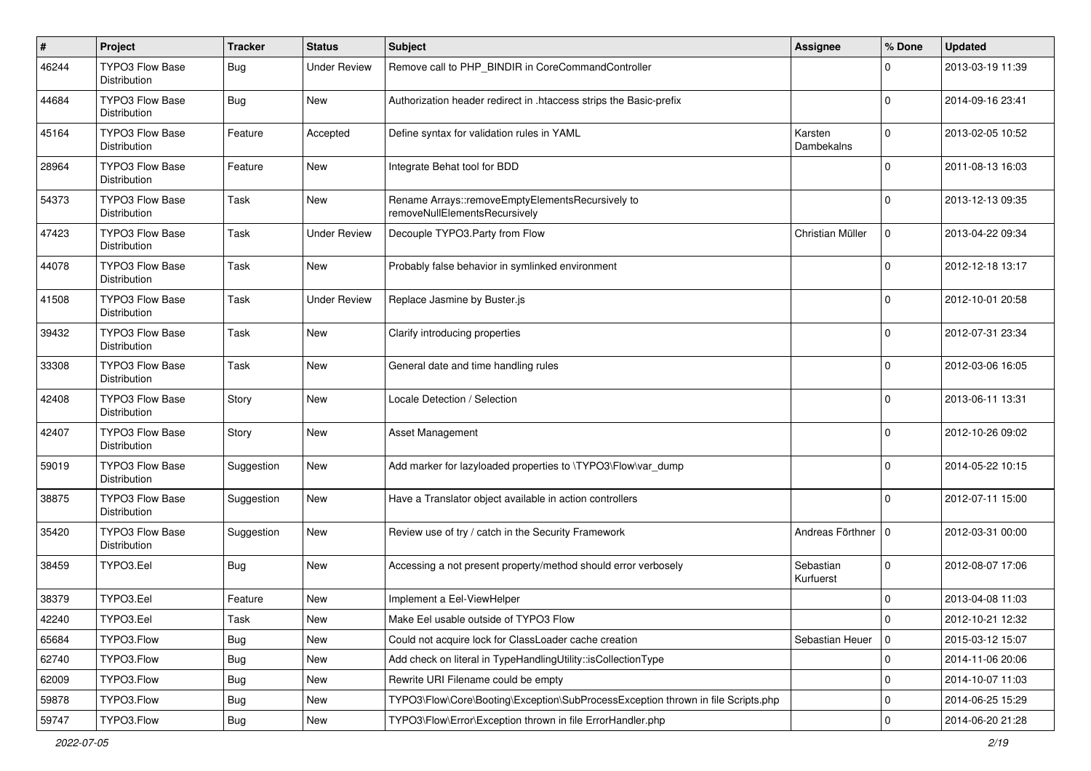| $\#$  | Project                                | <b>Tracker</b> | <b>Status</b>       | <b>Subject</b>                                                                    | Assignee               | % Done      | <b>Updated</b>   |
|-------|----------------------------------------|----------------|---------------------|-----------------------------------------------------------------------------------|------------------------|-------------|------------------|
| 46244 | TYPO3 Flow Base<br>Distribution        | <b>Bug</b>     | <b>Under Review</b> | Remove call to PHP_BINDIR in CoreCommandController                                |                        | 0           | 2013-03-19 11:39 |
| 44684 | <b>TYPO3 Flow Base</b><br>Distribution | <b>Bug</b>     | New                 | Authorization header redirect in .htaccess strips the Basic-prefix                |                        | 0           | 2014-09-16 23:41 |
| 45164 | TYPO3 Flow Base<br>Distribution        | Feature        | Accepted            | Define syntax for validation rules in YAML                                        | Karsten<br>Dambekalns  | $\Omega$    | 2013-02-05 10:52 |
| 28964 | <b>TYPO3 Flow Base</b><br>Distribution | Feature        | New                 | Integrate Behat tool for BDD                                                      |                        | $\Omega$    | 2011-08-13 16:03 |
| 54373 | TYPO3 Flow Base<br>Distribution        | Task           | New                 | Rename Arrays::removeEmptyElementsRecursively to<br>removeNullElementsRecursively |                        | 0           | 2013-12-13 09:35 |
| 47423 | <b>TYPO3 Flow Base</b><br>Distribution | Task           | <b>Under Review</b> | Decouple TYPO3.Party from Flow                                                    | Christian Müller       | 0           | 2013-04-22 09:34 |
| 44078 | TYPO3 Flow Base<br>Distribution        | Task           | New                 | Probably false behavior in symlinked environment                                  |                        | 0           | 2012-12-18 13:17 |
| 41508 | TYPO3 Flow Base<br>Distribution        | Task           | <b>Under Review</b> | Replace Jasmine by Buster.js                                                      |                        | U           | 2012-10-01 20:58 |
| 39432 | TYPO3 Flow Base<br>Distribution        | <b>Task</b>    | New                 | Clarify introducing properties                                                    |                        | 0           | 2012-07-31 23:34 |
| 33308 | TYPO3 Flow Base<br>Distribution        | Task           | New                 | General date and time handling rules                                              |                        | 0           | 2012-03-06 16:05 |
| 42408 | <b>TYPO3 Flow Base</b><br>Distribution | Story          | New                 | Locale Detection / Selection                                                      |                        | $\Omega$    | 2013-06-11 13:31 |
| 42407 | <b>TYPO3 Flow Base</b><br>Distribution | Story          | New                 | <b>Asset Management</b>                                                           |                        | 0           | 2012-10-26 09:02 |
| 59019 | <b>TYPO3 Flow Base</b><br>Distribution | Suggestion     | New                 | Add marker for lazyloaded properties to \TYPO3\Flow\var_dump                      |                        | $\Omega$    | 2014-05-22 10:15 |
| 38875 | TYPO3 Flow Base<br>Distribution        | Suggestion     | New                 | Have a Translator object available in action controllers                          |                        | 0           | 2012-07-11 15:00 |
| 35420 | <b>TYPO3 Flow Base</b><br>Distribution | Suggestion     | New                 | Review use of try / catch in the Security Framework                               | Andreas Förthner   0   |             | 2012-03-31 00:00 |
| 38459 | TYPO3.Eel                              | <b>Bug</b>     | New                 | Accessing a not present property/method should error verbosely                    | Sebastian<br>Kurfuerst | 0           | 2012-08-07 17:06 |
| 38379 | TYPO3.Eel                              | Feature        | New                 | Implement a Eel-ViewHelper                                                        |                        | $\mathbf 0$ | 2013-04-08 11:03 |
| 42240 | TYPO3.Eel                              | Task           | New                 | Make Eel usable outside of TYPO3 Flow                                             |                        | O           | 2012-10-21 12:32 |
| 65684 | TYPO3.Flow                             | <b>Bug</b>     | New                 | Could not acquire lock for ClassLoader cache creation                             | Sebastian Heuer        | 0           | 2015-03-12 15:07 |
| 62740 | TYPO3.Flow                             | Bug            | New                 | Add check on literal in TypeHandlingUtility::isCollectionType                     |                        | $\mathbf 0$ | 2014-11-06 20:06 |
| 62009 | TYPO3.Flow                             | Bug            | New                 | Rewrite URI Filename could be empty                                               |                        | $\mathbf 0$ | 2014-10-07 11:03 |
| 59878 | TYPO3.Flow                             | <b>Bug</b>     | New                 | TYPO3\Flow\Core\Booting\Exception\SubProcessException thrown in file Scripts.php  |                        | $\mathbf 0$ | 2014-06-25 15:29 |
| 59747 | TYPO3.Flow                             | <b>Bug</b>     | New                 | TYPO3\Flow\Error\Exception thrown in file ErrorHandler.php                        |                        | $\mathbf 0$ | 2014-06-20 21:28 |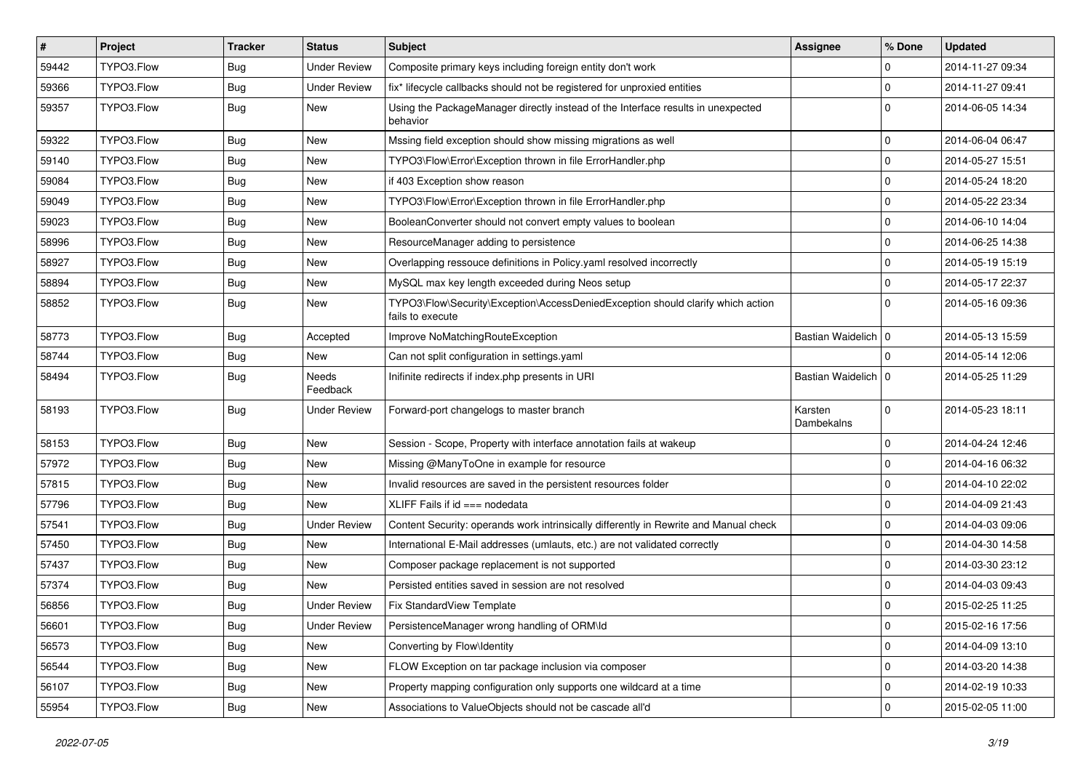| $\vert$ # | Project    | <b>Tracker</b> | <b>Status</b>       | Subject                                                                                             | <b>Assignee</b>       | % Done      | <b>Updated</b>   |
|-----------|------------|----------------|---------------------|-----------------------------------------------------------------------------------------------------|-----------------------|-------------|------------------|
| 59442     | TYPO3.Flow | <b>Bug</b>     | <b>Under Review</b> | Composite primary keys including foreign entity don't work                                          |                       | 0           | 2014-11-27 09:34 |
| 59366     | TYPO3.Flow | Bug            | <b>Under Review</b> | fix* lifecycle callbacks should not be registered for unproxied entities                            |                       | $\mathbf 0$ | 2014-11-27 09:41 |
| 59357     | TYPO3.Flow | Bug            | New                 | Using the PackageManager directly instead of the Interface results in unexpected<br>behavior        |                       | $\Omega$    | 2014-06-05 14:34 |
| 59322     | TYPO3.Flow | Bug            | <b>New</b>          | Mssing field exception should show missing migrations as well                                       |                       | $\mathbf 0$ | 2014-06-04 06:47 |
| 59140     | TYPO3.Flow | <b>Bug</b>     | New                 | TYPO3\Flow\Error\Exception thrown in file ErrorHandler.php                                          |                       | $\mathbf 0$ | 2014-05-27 15:51 |
| 59084     | TYPO3.Flow | Bug            | New                 | if 403 Exception show reason                                                                        |                       | $\Omega$    | 2014-05-24 18:20 |
| 59049     | TYPO3.Flow | <b>Bug</b>     | New                 | TYPO3\Flow\Error\Exception thrown in file ErrorHandler.php                                          |                       | $\mathbf 0$ | 2014-05-22 23:34 |
| 59023     | TYPO3.Flow | <b>Bug</b>     | New                 | BooleanConverter should not convert empty values to boolean                                         |                       | $\mathbf 0$ | 2014-06-10 14:04 |
| 58996     | TYPO3.Flow | Bug            | <b>New</b>          | ResourceManager adding to persistence                                                               |                       | 0           | 2014-06-25 14:38 |
| 58927     | TYPO3.Flow | <b>Bug</b>     | New                 | Overlapping ressouce definitions in Policy.yaml resolved incorrectly                                |                       | $\mathbf 0$ | 2014-05-19 15:19 |
| 58894     | TYPO3.Flow | <b>Bug</b>     | New                 | MySQL max key length exceeded during Neos setup                                                     |                       | $\mathbf 0$ | 2014-05-17 22:37 |
| 58852     | TYPO3.Flow | Bug            | New                 | TYPO3\Flow\Security\Exception\AccessDeniedException should clarify which action<br>fails to execute |                       | $\Omega$    | 2014-05-16 09:36 |
| 58773     | TYPO3.Flow | <b>Bug</b>     | Accepted            | Improve NoMatchingRouteException                                                                    | Bastian Waidelich   0 |             | 2014-05-13 15:59 |
| 58744     | TYPO3.Flow | <b>Bug</b>     | New                 | Can not split configuration in settings.yaml                                                        |                       | $\Omega$    | 2014-05-14 12:06 |
| 58494     | TYPO3.Flow | <b>Bug</b>     | Needs<br>Feedback   | Inifinite redirects if index.php presents in URI                                                    | Bastian Waidelich   0 |             | 2014-05-25 11:29 |
| 58193     | TYPO3.Flow | <b>Bug</b>     | Under Review        | Forward-port changelogs to master branch                                                            | Karsten<br>Dambekalns | $\Omega$    | 2014-05-23 18:11 |
| 58153     | TYPO3.Flow | Bug            | <b>New</b>          | Session - Scope, Property with interface annotation fails at wakeup                                 |                       | $\mathbf 0$ | 2014-04-24 12:46 |
| 57972     | TYPO3.Flow | Bug            | New                 | Missing @ManyToOne in example for resource                                                          |                       | $\mathbf 0$ | 2014-04-16 06:32 |
| 57815     | TYPO3.Flow | Bug            | New                 | Invalid resources are saved in the persistent resources folder                                      |                       | $\mathbf 0$ | 2014-04-10 22:02 |
| 57796     | TYPO3.Flow | <b>Bug</b>     | New                 | XLIFF Fails if $id == node$                                                                         |                       | 0           | 2014-04-09 21:43 |
| 57541     | TYPO3.Flow | <b>Bug</b>     | <b>Under Review</b> | Content Security: operands work intrinsically differently in Rewrite and Manual check               |                       | $\mathbf 0$ | 2014-04-03 09:06 |
| 57450     | TYPO3.Flow | Bug            | New                 | International E-Mail addresses (umlauts, etc.) are not validated correctly                          |                       | 0           | 2014-04-30 14:58 |
| 57437     | TYPO3.Flow | Bug            | New                 | Composer package replacement is not supported                                                       |                       | $\mathbf 0$ | 2014-03-30 23:12 |
| 57374     | TYPO3.Flow | <b>Bug</b>     | New                 | Persisted entities saved in session are not resolved                                                |                       | $\mathbf 0$ | 2014-04-03 09:43 |
| 56856     | TYPO3.Flow | <b>Bug</b>     | <b>Under Review</b> | Fix StandardView Template                                                                           |                       | 0           | 2015-02-25 11:25 |
| 56601     | TYPO3.Flow | <b>Bug</b>     | <b>Under Review</b> | PersistenceManager wrong handling of ORM\ld                                                         |                       | 0           | 2015-02-16 17:56 |
| 56573     | TYPO3.Flow | <b>Bug</b>     | New                 | Converting by Flow\Identity                                                                         |                       | $\mathbf 0$ | 2014-04-09 13:10 |
| 56544     | TYPO3.Flow | <b>Bug</b>     | New                 | FLOW Exception on tar package inclusion via composer                                                |                       | $\mathbf 0$ | 2014-03-20 14:38 |
| 56107     | TYPO3.Flow | <b>Bug</b>     | New                 | Property mapping configuration only supports one wildcard at a time                                 |                       | 0           | 2014-02-19 10:33 |
| 55954     | TYPO3.Flow | <b>Bug</b>     | New                 | Associations to ValueObjects should not be cascade all'd                                            |                       | $\mathbf 0$ | 2015-02-05 11:00 |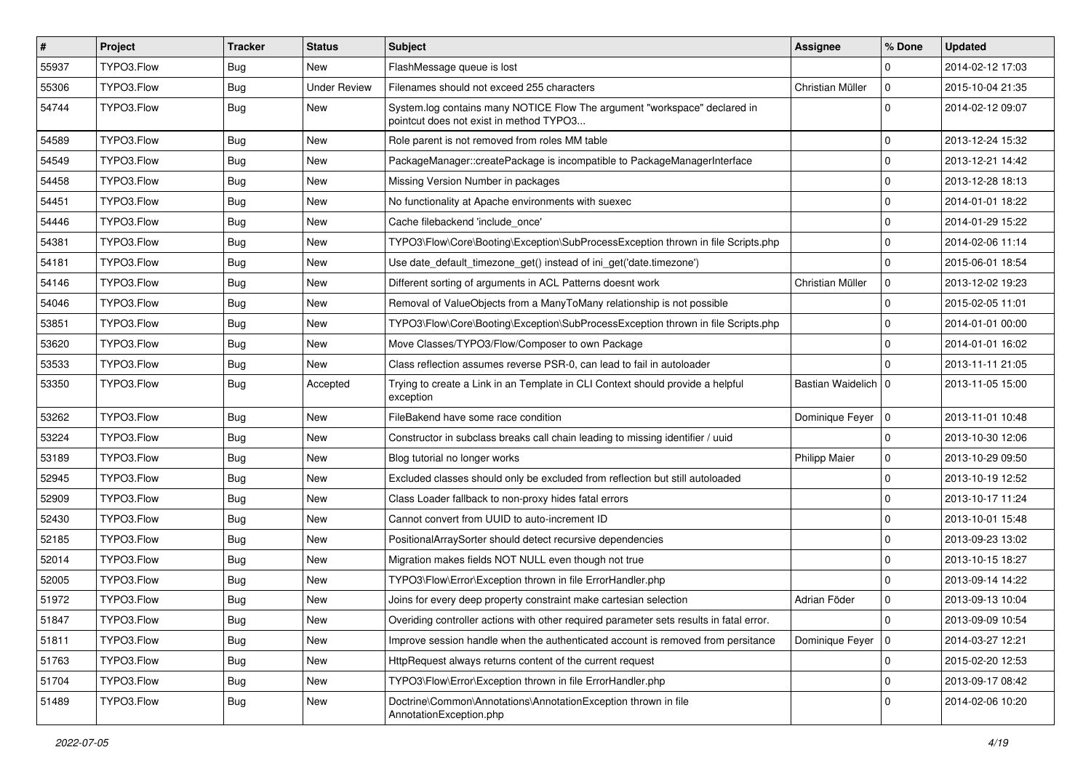| $\vert$ # | <b>Project</b> | <b>Tracker</b> | <b>Status</b>       | <b>Subject</b>                                                                                                       | <b>Assignee</b>       | % Done         | <b>Updated</b>   |
|-----------|----------------|----------------|---------------------|----------------------------------------------------------------------------------------------------------------------|-----------------------|----------------|------------------|
| 55937     | TYPO3.Flow     | <b>Bug</b>     | New                 | FlashMessage queue is lost                                                                                           |                       | $\Omega$       | 2014-02-12 17:03 |
| 55306     | TYPO3.Flow     | <b>Bug</b>     | <b>Under Review</b> | Filenames should not exceed 255 characters                                                                           | Christian Müller      | $\mathbf 0$    | 2015-10-04 21:35 |
| 54744     | TYPO3.Flow     | <b>Bug</b>     | <b>New</b>          | System.log contains many NOTICE Flow The argument "workspace" declared in<br>pointcut does not exist in method TYPO3 |                       | $\Omega$       | 2014-02-12 09:07 |
| 54589     | TYPO3.Flow     | Bug            | <b>New</b>          | Role parent is not removed from roles MM table                                                                       |                       | $\Omega$       | 2013-12-24 15:32 |
| 54549     | TYPO3.Flow     | <b>Bug</b>     | New                 | PackageManager::createPackage is incompatible to PackageManagerInterface                                             |                       | $\Omega$       | 2013-12-21 14:42 |
| 54458     | TYPO3.Flow     | <b>Bug</b>     | <b>New</b>          | Missing Version Number in packages                                                                                   |                       | $\Omega$       | 2013-12-28 18:13 |
| 54451     | TYPO3.Flow     | Bug            | New                 | No functionality at Apache environments with suexec                                                                  |                       | 0              | 2014-01-01 18:22 |
| 54446     | TYPO3.Flow     | <b>Bug</b>     | New                 | Cache filebackend 'include once'                                                                                     |                       | $\Omega$       | 2014-01-29 15:22 |
| 54381     | TYPO3.Flow     | <b>Bug</b>     | New                 | TYPO3\Flow\Core\Booting\Exception\SubProcessException thrown in file Scripts.php                                     |                       | $\Omega$       | 2014-02-06 11:14 |
| 54181     | TYPO3.Flow     | Bug            | <b>New</b>          | Use date default timezone get() instead of ini get('date.timezone')                                                  |                       | $\Omega$       | 2015-06-01 18:54 |
| 54146     | TYPO3.Flow     | <b>Bug</b>     | New                 | Different sorting of arguments in ACL Patterns doesnt work                                                           | Christian Müller      | $\overline{0}$ | 2013-12-02 19:23 |
| 54046     | TYPO3.Flow     | Bug            | New                 | Removal of ValueObjects from a ManyToMany relationship is not possible                                               |                       | $\Omega$       | 2015-02-05 11:01 |
| 53851     | TYPO3.Flow     | Bug            | New                 | TYPO3\Flow\Core\Booting\Exception\SubProcessException thrown in file Scripts.php                                     |                       | $\Omega$       | 2014-01-01 00:00 |
| 53620     | TYPO3.Flow     | <b>Bug</b>     | New                 | Move Classes/TYPO3/Flow/Composer to own Package                                                                      |                       | $\Omega$       | 2014-01-01 16:02 |
| 53533     | TYPO3.Flow     | <b>Bug</b>     | <b>New</b>          | Class reflection assumes reverse PSR-0, can lead to fail in autoloader                                               |                       | $\Omega$       | 2013-11-11 21:05 |
| 53350     | TYPO3.Flow     | <b>Bug</b>     | Accepted            | Trying to create a Link in an Template in CLI Context should provide a helpful<br>exception                          | Bastian Waidelich   0 |                | 2013-11-05 15:00 |
| 53262     | TYPO3.Flow     | Bug            | New                 | FileBakend have some race condition                                                                                  | Dominique Feyer   0   |                | 2013-11-01 10:48 |
| 53224     | TYPO3.Flow     | <b>Bug</b>     | New                 | Constructor in subclass breaks call chain leading to missing identifier / uuid                                       |                       | $\Omega$       | 2013-10-30 12:06 |
| 53189     | TYPO3.Flow     | Bug            | New                 | Blog tutorial no longer works                                                                                        | <b>Philipp Maier</b>  | 0              | 2013-10-29 09:50 |
| 52945     | TYPO3.Flow     | Bug            | <b>New</b>          | Excluded classes should only be excluded from reflection but still autoloaded                                        |                       | $\Omega$       | 2013-10-19 12:52 |
| 52909     | TYPO3.Flow     | <b>Bug</b>     | New                 | Class Loader fallback to non-proxy hides fatal errors                                                                |                       | $\Omega$       | 2013-10-17 11:24 |
| 52430     | TYPO3.Flow     | Bug            | New                 | Cannot convert from UUID to auto-increment ID                                                                        |                       | $\Omega$       | 2013-10-01 15:48 |
| 52185     | TYPO3.Flow     | <b>Bug</b>     | New                 | PositionalArraySorter should detect recursive dependencies                                                           |                       | 0              | 2013-09-23 13:02 |
| 52014     | TYPO3.Flow     | <b>Bug</b>     | New                 | Migration makes fields NOT NULL even though not true                                                                 |                       | $\Omega$       | 2013-10-15 18:27 |
| 52005     | TYPO3.Flow     | <b>Bug</b>     | New                 | TYPO3\Flow\Error\Exception thrown in file ErrorHandler.php                                                           |                       | $\Omega$       | 2013-09-14 14:22 |
| 51972     | TYPO3.Flow     | <b>Bug</b>     | New                 | Joins for every deep property constraint make cartesian selection                                                    | Adrian Föder          | $\mathbf 0$    | 2013-09-13 10:04 |
| 51847     | TYPO3.Flow     | <b>Bug</b>     | New                 | Overiding controller actions with other required parameter sets results in fatal error.                              |                       | 0              | 2013-09-09 10:54 |
| 51811     | TYPO3.Flow     | <b>Bug</b>     | New                 | Improve session handle when the authenticated account is removed from persitance                                     | Dominique Feyer       | $\overline{0}$ | 2014-03-27 12:21 |
| 51763     | TYPO3.Flow     | <b>Bug</b>     | New                 | HttpRequest always returns content of the current request                                                            |                       | 0              | 2015-02-20 12:53 |
| 51704     | TYPO3.Flow     | <b>Bug</b>     | New                 | TYPO3\Flow\Error\Exception thrown in file ErrorHandler.php                                                           |                       | 0              | 2013-09-17 08:42 |
| 51489     | TYPO3.Flow     | <b>Bug</b>     | New                 | Doctrine\Common\Annotations\AnnotationException thrown in file<br>AnnotationException.php                            |                       | 0              | 2014-02-06 10:20 |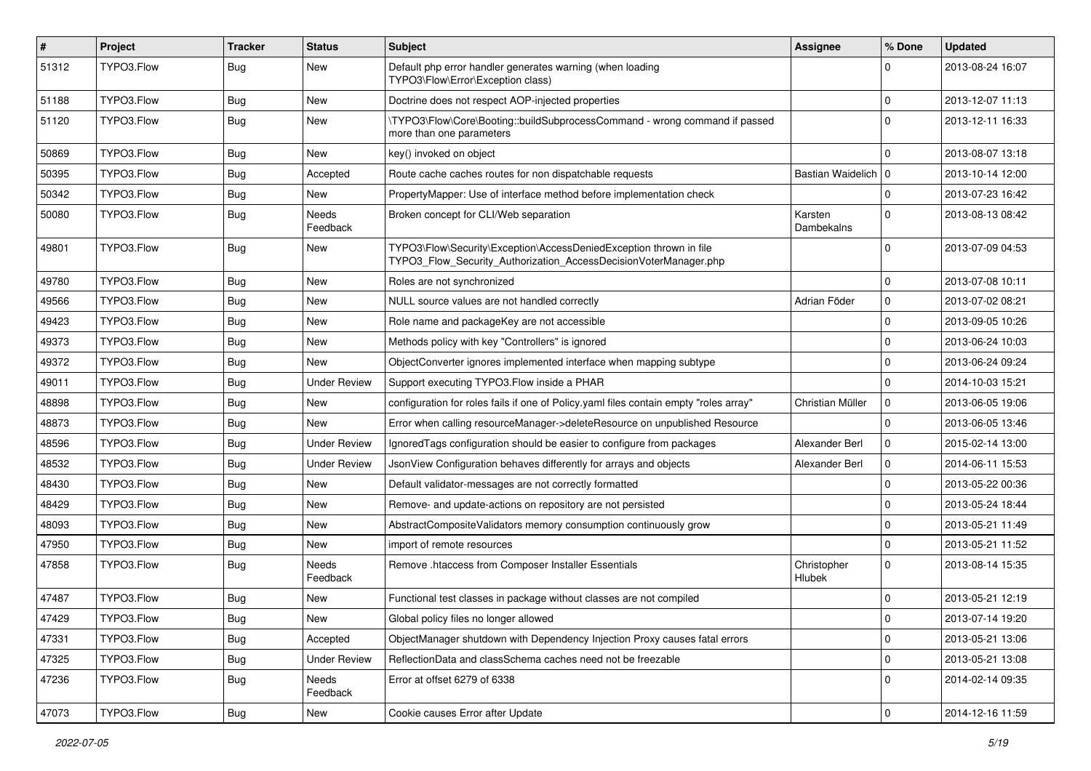| #     | Project    | <b>Tracker</b> | <b>Status</b>       | Subject                                                                                                                                | Assignee              | % Done       | <b>Updated</b>   |
|-------|------------|----------------|---------------------|----------------------------------------------------------------------------------------------------------------------------------------|-----------------------|--------------|------------------|
| 51312 | TYPO3.Flow | Bug            | New                 | Default php error handler generates warning (when loading<br>TYPO3\Flow\Error\Exception class)                                         |                       | 0            | 2013-08-24 16:07 |
| 51188 | TYPO3.Flow | Bug            | <b>New</b>          | Doctrine does not respect AOP-injected properties                                                                                      |                       | $\mathbf 0$  | 2013-12-07 11:13 |
| 51120 | TYPO3.Flow | Bug            | New                 | \TYPO3\Flow\Core\Booting::buildSubprocessCommand - wrong command if passed<br>more than one parameters                                 |                       | $\Omega$     | 2013-12-11 16:33 |
| 50869 | TYPO3.Flow | <b>Bug</b>     | <b>New</b>          | key() invoked on object                                                                                                                |                       | $\Omega$     | 2013-08-07 13:18 |
| 50395 | TYPO3.Flow | <b>Bug</b>     | Accepted            | Route cache caches routes for non dispatchable requests                                                                                | Bastian Waidelich   0 |              | 2013-10-14 12:00 |
| 50342 | TYPO3.Flow | Bug            | New                 | PropertyMapper: Use of interface method before implementation check                                                                    |                       | 0            | 2013-07-23 16:42 |
| 50080 | TYPO3.Flow | Bug            | Needs<br>Feedback   | Broken concept for CLI/Web separation                                                                                                  | Karsten<br>Dambekalns | $\Omega$     | 2013-08-13 08:42 |
| 49801 | TYPO3.Flow | Bug            | New                 | TYPO3\Flow\Security\Exception\AccessDeniedException thrown in file<br>TYPO3_Flow_Security_Authorization_AccessDecisionVoterManager.php |                       | $\Omega$     | 2013-07-09 04:53 |
| 49780 | TYPO3.Flow | Bug            | <b>New</b>          | Roles are not synchronized                                                                                                             |                       | 0            | 2013-07-08 10:11 |
| 49566 | TYPO3.Flow | <b>Bug</b>     | <b>New</b>          | NULL source values are not handled correctly                                                                                           | Adrian Föder          | $\mathbf 0$  | 2013-07-02 08:21 |
| 49423 | TYPO3.Flow | <b>Bug</b>     | New                 | Role name and packageKey are not accessible                                                                                            |                       | $\mathbf 0$  | 2013-09-05 10:26 |
| 49373 | TYPO3.Flow | Bug            | New                 | Methods policy with key "Controllers" is ignored                                                                                       |                       | 0            | 2013-06-24 10:03 |
| 49372 | TYPO3.Flow | Bug            | New                 | ObjectConverter ignores implemented interface when mapping subtype                                                                     |                       | $\mathbf 0$  | 2013-06-24 09:24 |
| 49011 | TYPO3.Flow | <b>Bug</b>     | <b>Under Review</b> | Support executing TYPO3. Flow inside a PHAR                                                                                            |                       | 0            | 2014-10-03 15:21 |
| 48898 | TYPO3.Flow | Bug            | New                 | configuration for roles fails if one of Policy yaml files contain empty "roles array"                                                  | Christian Müller      | $\mathbf 0$  | 2013-06-05 19:06 |
| 48873 | TYPO3.Flow | Bug            | New                 | Error when calling resourceManager->deleteResource on unpublished Resource                                                             |                       | $\Omega$     | 2013-06-05 13:46 |
| 48596 | TYPO3.Flow | Bug            | <b>Under Review</b> | Ignored Tags configuration should be easier to configure from packages                                                                 | Alexander Berl        | $\mathbf 0$  | 2015-02-14 13:00 |
| 48532 | TYPO3.Flow | Bug            | <b>Under Review</b> | JsonView Configuration behaves differently for arrays and objects                                                                      | Alexander Berl        | $\mathbf 0$  | 2014-06-11 15:53 |
| 48430 | TYPO3.Flow | <b>Bug</b>     | <b>New</b>          | Default validator-messages are not correctly formatted                                                                                 |                       | 0            | 2013-05-22 00:36 |
| 48429 | TYPO3.Flow | <b>Bug</b>     | New                 | Remove- and update-actions on repository are not persisted                                                                             |                       | 0            | 2013-05-24 18:44 |
| 48093 | TYPO3.Flow | <b>Bug</b>     | <b>New</b>          | AbstractCompositeValidators memory consumption continuously grow                                                                       |                       | $\mathbf 0$  | 2013-05-21 11:49 |
| 47950 | TYPO3.Flow | Bug            | <b>New</b>          | import of remote resources                                                                                                             |                       | $\Omega$     | 2013-05-21 11:52 |
| 47858 | TYPO3.Flow | Bug            | Needs<br>Feedback   | Remove .htaccess from Composer Installer Essentials                                                                                    | Christopher<br>Hlubek | 0            | 2013-08-14 15:35 |
| 47487 | TYPO3.Flow | <b>Bug</b>     | New                 | Functional test classes in package without classes are not compiled                                                                    |                       | $\mathbf 0$  | 2013-05-21 12:19 |
| 47429 | TYPO3.Flow | <b>Bug</b>     | New                 | Global policy files no longer allowed                                                                                                  |                       | $\mathbf{0}$ | 2013-07-14 19:20 |
| 47331 | TYPO3.Flow | <b>Bug</b>     | Accepted            | ObjectManager shutdown with Dependency Injection Proxy causes fatal errors                                                             |                       | $\mathbf 0$  | 2013-05-21 13:06 |
| 47325 | TYPO3.Flow | <b>Bug</b>     | <b>Under Review</b> | ReflectionData and classSchema caches need not be freezable                                                                            |                       | $\mathbf 0$  | 2013-05-21 13:08 |
| 47236 | TYPO3.Flow | <b>Bug</b>     | Needs<br>Feedback   | Error at offset 6279 of 6338                                                                                                           |                       | $\mathbf 0$  | 2014-02-14 09:35 |
| 47073 | TYPO3.Flow | <b>Bug</b>     | New                 | Cookie causes Error after Update                                                                                                       |                       | $\mathbf 0$  | 2014-12-16 11:59 |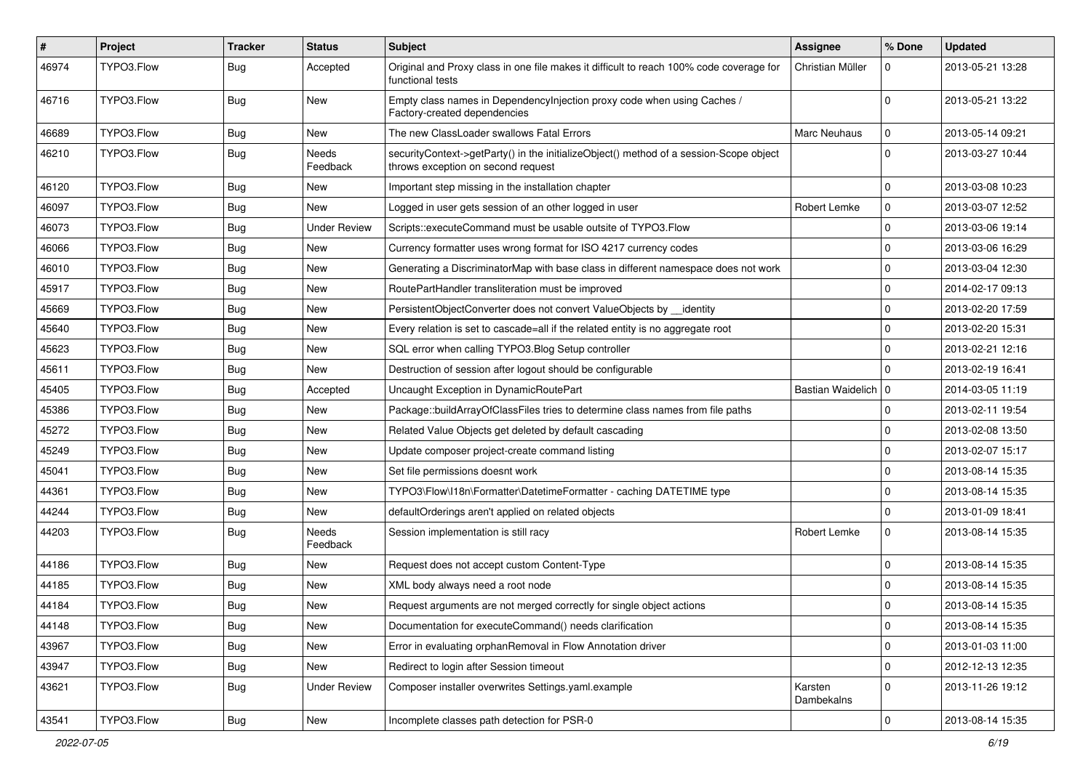| $\pmb{\#}$ | <b>Project</b> | <b>Tracker</b> | <b>Status</b>            | <b>Subject</b>                                                                                                               | <b>Assignee</b>       | % Done         | <b>Updated</b>   |
|------------|----------------|----------------|--------------------------|------------------------------------------------------------------------------------------------------------------------------|-----------------------|----------------|------------------|
| 46974      | TYPO3.Flow     | Bug            | Accepted                 | Original and Proxy class in one file makes it difficult to reach 100% code coverage for<br>functional tests                  | Christian Müller      | $\Omega$       | 2013-05-21 13:28 |
| 46716      | TYPO3.Flow     | Bug            | New                      | Empty class names in DependencyInjection proxy code when using Caches /<br>Factory-created dependencies                      |                       | $\Omega$       | 2013-05-21 13:22 |
| 46689      | TYPO3.Flow     | Bug            | New                      | The new ClassLoader swallows Fatal Errors                                                                                    | Marc Neuhaus          | 0              | 2013-05-14 09:21 |
| 46210      | TYPO3.Flow     | <b>Bug</b>     | Needs<br>Feedback        | securityContext->getParty() in the initializeObject() method of a session-Scope object<br>throws exception on second request |                       | $\Omega$       | 2013-03-27 10:44 |
| 46120      | TYPO3.Flow     | <b>Bug</b>     | <b>New</b>               | Important step missing in the installation chapter                                                                           |                       | $\Omega$       | 2013-03-08 10:23 |
| 46097      | TYPO3.Flow     | <b>Bug</b>     | New                      | Logged in user gets session of an other logged in user                                                                       | Robert Lemke          | $\mathbf 0$    | 2013-03-07 12:52 |
| 46073      | TYPO3.Flow     | <b>Bug</b>     | <b>Under Review</b>      | Scripts::executeCommand must be usable outsite of TYPO3.Flow                                                                 |                       | $\Omega$       | 2013-03-06 19:14 |
| 46066      | TYPO3.Flow     | Bug            | New                      | Currency formatter uses wrong format for ISO 4217 currency codes                                                             |                       | 0              | 2013-03-06 16:29 |
| 46010      | TYPO3.Flow     | <b>Bug</b>     | New                      | Generating a DiscriminatorMap with base class in different namespace does not work                                           |                       | $\Omega$       | 2013-03-04 12:30 |
| 45917      | TYPO3.Flow     | Bug            | New                      | RoutePartHandler transliteration must be improved                                                                            |                       | $\mathbf 0$    | 2014-02-17 09:13 |
| 45669      | TYPO3.Flow     | Bug            | New                      | PersistentObjectConverter does not convert ValueObjects by identity                                                          |                       | $\Omega$       | 2013-02-20 17:59 |
| 45640      | TYPO3.Flow     | <b>Bug</b>     | New                      | Every relation is set to cascade=all if the related entity is no aggregate root                                              |                       | $\mathbf 0$    | 2013-02-20 15:31 |
| 45623      | TYPO3.Flow     | Bug            | New                      | SQL error when calling TYPO3.Blog Setup controller                                                                           |                       | $\mathbf 0$    | 2013-02-21 12:16 |
| 45611      | TYPO3.Flow     | Bug            | New                      | Destruction of session after logout should be configurable                                                                   |                       | $\Omega$       | 2013-02-19 16:41 |
| 45405      | TYPO3.Flow     | <b>Bug</b>     | Accepted                 | Uncaught Exception in DynamicRoutePart                                                                                       | Bastian Waidelich   0 |                | 2014-03-05 11:19 |
| 45386      | TYPO3.Flow     | <b>Bug</b>     | New                      | Package::buildArrayOfClassFiles tries to determine class names from file paths                                               |                       | $\Omega$       | 2013-02-11 19:54 |
| 45272      | TYPO3.Flow     | <b>Bug</b>     | New                      | Related Value Objects get deleted by default cascading                                                                       |                       | $\mathbf 0$    | 2013-02-08 13:50 |
| 45249      | TYPO3.Flow     | <b>Bug</b>     | <b>New</b>               | Update composer project-create command listing                                                                               |                       | $\Omega$       | 2013-02-07 15:17 |
| 45041      | TYPO3.Flow     | Bug            | New                      | Set file permissions doesnt work                                                                                             |                       | $\Omega$       | 2013-08-14 15:35 |
| 44361      | TYPO3.Flow     | <b>Bug</b>     | <b>New</b>               | TYPO3\Flow\I18n\Formatter\DatetimeFormatter - caching DATETIME type                                                          |                       | $\Omega$       | 2013-08-14 15:35 |
| 44244      | TYPO3.Flow     | <b>Bug</b>     | New                      | defaultOrderings aren't applied on related objects                                                                           |                       | 0              | 2013-01-09 18:41 |
| 44203      | TYPO3.Flow     | <b>Bug</b>     | <b>Needs</b><br>Feedback | Session implementation is still racy                                                                                         | Robert Lemke          | 0              | 2013-08-14 15:35 |
| 44186      | TYPO3.Flow     | Bug            | New                      | Request does not accept custom Content-Type                                                                                  |                       | $\Omega$       | 2013-08-14 15:35 |
| 44185      | TYPO3.Flow     | <b>Bug</b>     | New                      | XML body always need a root node                                                                                             |                       | $\overline{0}$ | 2013-08-14 15:35 |
| 44184      | TYPO3.Flow     | <b>Bug</b>     | New                      | Request arguments are not merged correctly for single object actions                                                         |                       | $\Omega$       | 2013-08-14 15:35 |
| 44148      | TYPO3.Flow     | <b>Bug</b>     | New                      | Documentation for executeCommand() needs clarification                                                                       |                       | 0              | 2013-08-14 15:35 |
| 43967      | TYPO3.Flow     | <b>Bug</b>     | New                      | Error in evaluating orphanRemoval in Flow Annotation driver                                                                  |                       | 0              | 2013-01-03 11:00 |
| 43947      | TYPO3.Flow     | <b>Bug</b>     | New                      | Redirect to login after Session timeout                                                                                      |                       | l 0            | 2012-12-13 12:35 |
| 43621      | TYPO3.Flow     | Bug            | <b>Under Review</b>      | Composer installer overwrites Settings.yaml.example                                                                          | Karsten<br>Dambekalns | 0              | 2013-11-26 19:12 |
| 43541      | TYPO3.Flow     | i Bug          | New                      | Incomplete classes path detection for PSR-0                                                                                  |                       | 0              | 2013-08-14 15:35 |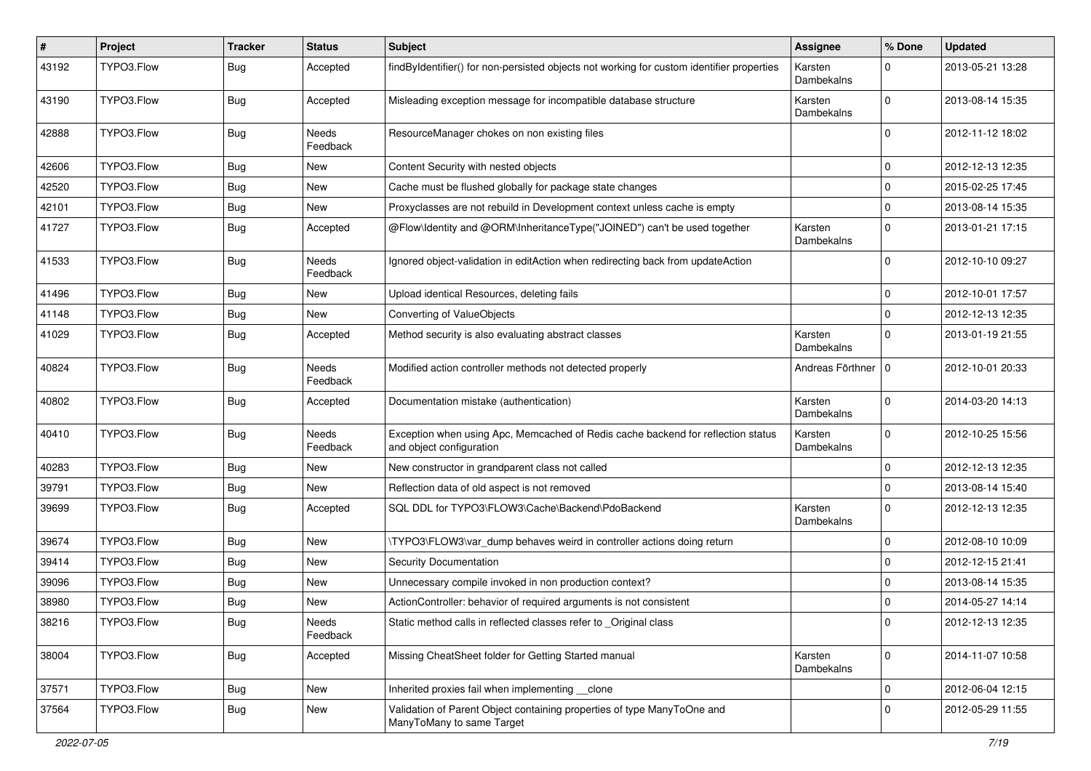| #     | Project    | <b>Tracker</b> | <b>Status</b>            | Subject                                                                                                      | <b>Assignee</b>       | % Done      | <b>Updated</b>   |
|-------|------------|----------------|--------------------------|--------------------------------------------------------------------------------------------------------------|-----------------------|-------------|------------------|
| 43192 | TYPO3.Flow | <b>Bug</b>     | Accepted                 | findByIdentifier() for non-persisted objects not working for custom identifier properties                    | Karsten<br>Dambekalns | $\Omega$    | 2013-05-21 13:28 |
| 43190 | TYPO3.Flow | <b>Bug</b>     | Accepted                 | Misleading exception message for incompatible database structure                                             | Karsten<br>Dambekalns | $\Omega$    | 2013-08-14 15:35 |
| 42888 | TYPO3.Flow | <b>Bug</b>     | Needs<br>Feedback        | ResourceManager chokes on non existing files                                                                 |                       | $\Omega$    | 2012-11-12 18:02 |
| 42606 | TYPO3.Flow | <b>Bug</b>     | <b>New</b>               | Content Security with nested objects                                                                         |                       | $\mathbf 0$ | 2012-12-13 12:35 |
| 42520 | TYPO3.Flow | Bug            | <b>New</b>               | Cache must be flushed globally for package state changes                                                     |                       | $\Omega$    | 2015-02-25 17:45 |
| 42101 | TYPO3.Flow | Bug            | New                      | Proxyclasses are not rebuild in Development context unless cache is empty                                    |                       | $\mathbf 0$ | 2013-08-14 15:35 |
| 41727 | TYPO3.Flow | <b>Bug</b>     | Accepted                 | @Flow\Identity and @ORM\InheritanceType("JOINED") can't be used together                                     | Karsten<br>Dambekalns | $\Omega$    | 2013-01-21 17:15 |
| 41533 | TYPO3.Flow | <b>Bug</b>     | <b>Needs</b><br>Feedback | Ignored object-validation in editAction when redirecting back from updateAction                              |                       | $\Omega$    | 2012-10-10 09:27 |
| 41496 | TYPO3.Flow | <b>Bug</b>     | New                      | Upload identical Resources, deleting fails                                                                   |                       | $\mathbf 0$ | 2012-10-01 17:57 |
| 41148 | TYPO3.Flow | <b>Bug</b>     | New                      | Converting of ValueObjects                                                                                   |                       | $\Omega$    | 2012-12-13 12:35 |
| 41029 | TYPO3.Flow | <b>Bug</b>     | Accepted                 | Method security is also evaluating abstract classes                                                          | Karsten<br>Dambekalns | $\Omega$    | 2013-01-19 21:55 |
| 40824 | TYPO3.Flow | <b>Bug</b>     | <b>Needs</b><br>Feedback | Modified action controller methods not detected properly                                                     | Andreas Förthner      | l 0         | 2012-10-01 20:33 |
| 40802 | TYPO3.Flow | <b>Bug</b>     | Accepted                 | Documentation mistake (authentication)                                                                       | Karsten<br>Dambekalns | $\Omega$    | 2014-03-20 14:13 |
| 40410 | TYPO3.Flow | <b>Bug</b>     | Needs<br>Feedback        | Exception when using Apc, Memcached of Redis cache backend for reflection status<br>and object configuration | Karsten<br>Dambekalns | $\Omega$    | 2012-10-25 15:56 |
| 40283 | TYPO3.Flow | Bug            | <b>New</b>               | New constructor in grandparent class not called                                                              |                       | $\mathbf 0$ | 2012-12-13 12:35 |
| 39791 | TYPO3.Flow | Bug            | New                      | Reflection data of old aspect is not removed                                                                 |                       | $\mathbf 0$ | 2013-08-14 15:40 |
| 39699 | TYPO3.Flow | Bug            | Accepted                 | SQL DDL for TYPO3\FLOW3\Cache\Backend\PdoBackend                                                             | Karsten<br>Dambekalns | $\Omega$    | 2012-12-13 12:35 |
| 39674 | TYPO3.Flow | Bug            | New                      | \TYPO3\FLOW3\var_dump behaves weird in controller actions doing return                                       |                       | $\mathbf 0$ | 2012-08-10 10:09 |
| 39414 | TYPO3.Flow | <b>Bug</b>     | <b>New</b>               | Security Documentation                                                                                       |                       | $\Omega$    | 2012-12-15 21:41 |
| 39096 | TYPO3.Flow | Bug            | New                      | Unnecessary compile invoked in non production context?                                                       |                       | 0           | 2013-08-14 15:35 |
| 38980 | TYPO3.Flow | <b>Bug</b>     | New                      | ActionController: behavior of required arguments is not consistent                                           |                       | $\mathbf 0$ | 2014-05-27 14:14 |
| 38216 | TYPO3.Flow | <b>Bug</b>     | Needs<br>Feedback        | Static method calls in reflected classes refer to _Original class                                            |                       | 0           | 2012-12-13 12:35 |
| 38004 | TYPO3.Flow | <b>Bug</b>     | Accepted                 | Missing CheatSheet folder for Getting Started manual                                                         | Karsten<br>Dambekalns | $\mathbf 0$ | 2014-11-07 10:58 |
| 37571 | TYPO3.Flow | <b>Bug</b>     | New                      | Inherited proxies fail when implementing clone                                                               |                       | $\mathbf 0$ | 2012-06-04 12:15 |
| 37564 | TYPO3.Flow | <b>Bug</b>     | New                      | Validation of Parent Object containing properties of type ManyToOne and<br>ManyToMany to same Target         |                       | $\mathbf 0$ | 2012-05-29 11:55 |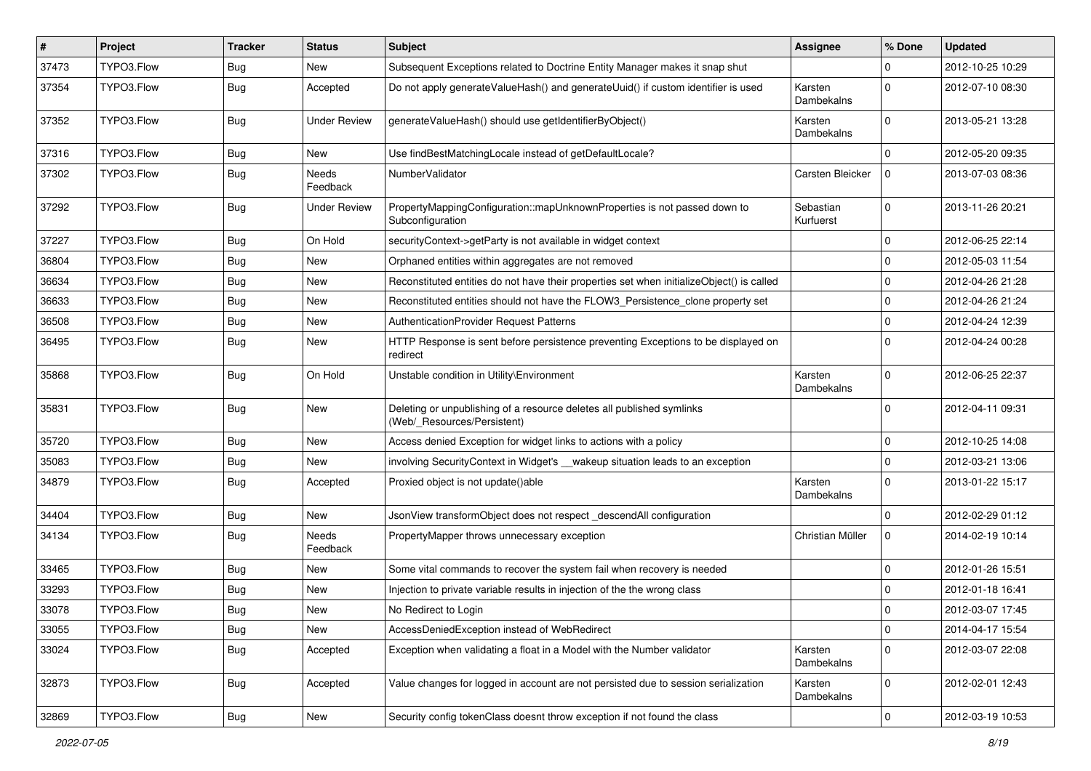| #     | Project    | <b>Tracker</b> | <b>Status</b>            | <b>Subject</b>                                                                                       | <b>Assignee</b>        | % Done      | <b>Updated</b>   |
|-------|------------|----------------|--------------------------|------------------------------------------------------------------------------------------------------|------------------------|-------------|------------------|
| 37473 | TYPO3.Flow | <b>Bug</b>     | New                      | Subsequent Exceptions related to Doctrine Entity Manager makes it snap shut                          |                        | 0           | 2012-10-25 10:29 |
| 37354 | TYPO3.Flow | <b>Bug</b>     | Accepted                 | Do not apply generateValueHash() and generateUuid() if custom identifier is used                     | Karsten<br>Dambekalns  | $\Omega$    | 2012-07-10 08:30 |
| 37352 | TYPO3.Flow | <b>Bug</b>     | <b>Under Review</b>      | generateValueHash() should use getIdentifierByObject()                                               | Karsten<br>Dambekalns  | $\Omega$    | 2013-05-21 13:28 |
| 37316 | TYPO3.Flow | <b>Bug</b>     | New                      | Use findBestMatchingLocale instead of getDefaultLocale?                                              |                        | $\mathbf 0$ | 2012-05-20 09:35 |
| 37302 | TYPO3.Flow | <b>Bug</b>     | <b>Needs</b><br>Feedback | NumberValidator                                                                                      | Carsten Bleicker       | $\Omega$    | 2013-07-03 08:36 |
| 37292 | TYPO3.Flow | <b>Bug</b>     | <b>Under Review</b>      | PropertyMappingConfiguration::mapUnknownProperties is not passed down to<br>Subconfiguration         | Sebastian<br>Kurfuerst | $\mathbf 0$ | 2013-11-26 20:21 |
| 37227 | TYPO3.Flow | <b>Bug</b>     | On Hold                  | securityContext->getParty is not available in widget context                                         |                        | 0           | 2012-06-25 22:14 |
| 36804 | TYPO3.Flow | <b>Bug</b>     | New                      | Orphaned entities within aggregates are not removed                                                  |                        | $\mathbf 0$ | 2012-05-03 11:54 |
| 36634 | TYPO3.Flow | <b>Bug</b>     | New                      | Reconstituted entities do not have their properties set when initializeObject() is called            |                        | 0           | 2012-04-26 21:28 |
| 36633 | TYPO3.Flow | <b>Bug</b>     | New                      | Reconstituted entities should not have the FLOW3 Persistence clone property set                      |                        | $\mathbf 0$ | 2012-04-26 21:24 |
| 36508 | TYPO3.Flow | <b>Bug</b>     | New                      | AuthenticationProvider Request Patterns                                                              |                        | 0           | 2012-04-24 12:39 |
| 36495 | TYPO3.Flow | <b>Bug</b>     | New                      | HTTP Response is sent before persistence preventing Exceptions to be displayed on<br>redirect        |                        | $\Omega$    | 2012-04-24 00:28 |
| 35868 | TYPO3.Flow | <b>Bug</b>     | On Hold                  | Unstable condition in Utility\Environment                                                            | Karsten<br>Dambekalns  | $\Omega$    | 2012-06-25 22:37 |
| 35831 | TYPO3.Flow | <b>Bug</b>     | New                      | Deleting or unpublishing of a resource deletes all published symlinks<br>(Web/_Resources/Persistent) |                        | $\Omega$    | 2012-04-11 09:31 |
| 35720 | TYPO3.Flow | <b>Bug</b>     | New                      | Access denied Exception for widget links to actions with a policy                                    |                        | $\mathbf 0$ | 2012-10-25 14:08 |
| 35083 | TYPO3.Flow | <b>Bug</b>     | New                      | involving SecurityContext in Widget's __wakeup situation leads to an exception                       |                        | $\mathbf 0$ | 2012-03-21 13:06 |
| 34879 | TYPO3.Flow | <b>Bug</b>     | Accepted                 | Proxied object is not update()able                                                                   | Karsten<br>Dambekalns  | $\Omega$    | 2013-01-22 15:17 |
| 34404 | TYPO3.Flow | <b>Bug</b>     | New                      | JsonView transformObject does not respect_descendAll configuration                                   |                        | $\mathbf 0$ | 2012-02-29 01:12 |
| 34134 | TYPO3.Flow | <b>Bug</b>     | Needs<br>Feedback        | PropertyMapper throws unnecessary exception                                                          | Christian Müller       | 0           | 2014-02-19 10:14 |
| 33465 | TYPO3.Flow | <b>Bug</b>     | New                      | Some vital commands to recover the system fail when recovery is needed                               |                        | $\mathbf 0$ | 2012-01-26 15:51 |
| 33293 | TYPO3.Flow | <b>Bug</b>     | New                      | Injection to private variable results in injection of the the wrong class                            |                        | $\mathbf 0$ | 2012-01-18 16:41 |
| 33078 | TYPO3.Flow | Bug            | New                      | No Redirect to Login                                                                                 |                        | $\mathbf 0$ | 2012-03-07 17:45 |
| 33055 | TYPO3.Flow | <b>Bug</b>     | New                      | AccessDeniedException instead of WebRedirect                                                         |                        | $\mathbf 0$ | 2014-04-17 15:54 |
| 33024 | TYPO3.Flow | Bug            | Accepted                 | Exception when validating a float in a Model with the Number validator                               | Karsten<br>Dambekalns  | 0           | 2012-03-07 22:08 |
| 32873 | TYPO3.Flow | <b>Bug</b>     | Accepted                 | Value changes for logged in account are not persisted due to session serialization                   | Karsten<br>Dambekalns  | 0           | 2012-02-01 12:43 |
| 32869 | TYPO3.Flow | <b>Bug</b>     | New                      | Security config tokenClass doesnt throw exception if not found the class                             |                        | $\pmb{0}$   | 2012-03-19 10:53 |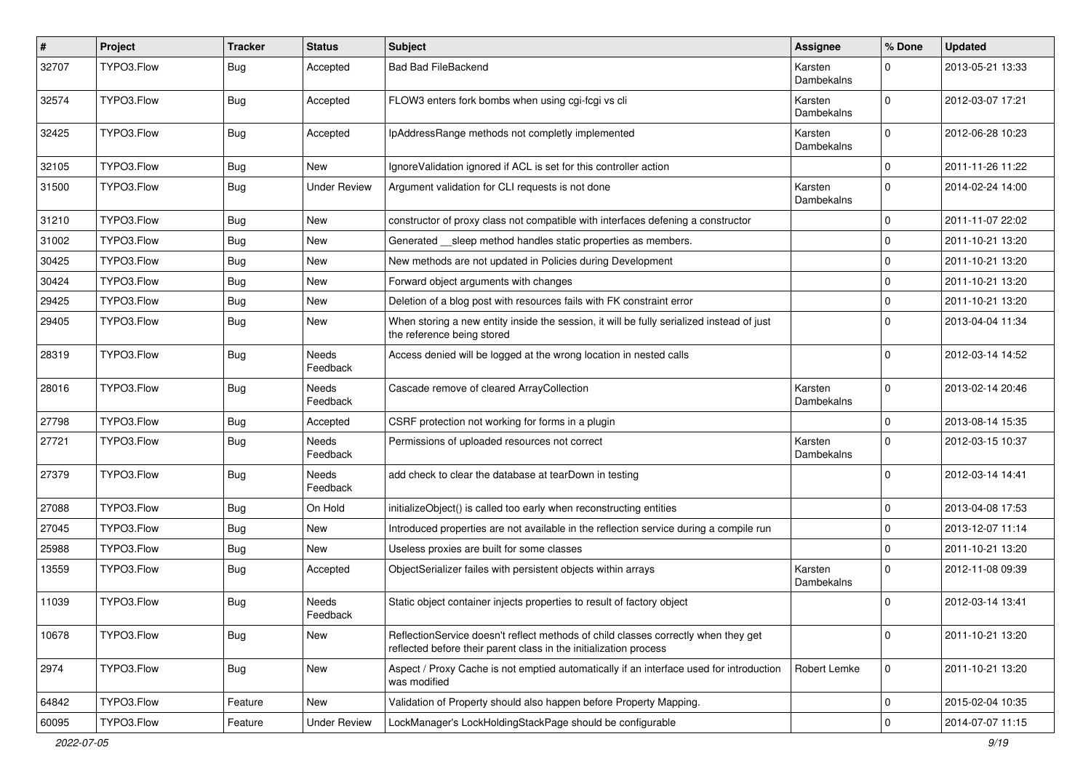| #     | Project    | <b>Tracker</b> | <b>Status</b>            | Subject                                                                                                                                                 | <b>Assignee</b>       | % Done      | <b>Updated</b>   |
|-------|------------|----------------|--------------------------|---------------------------------------------------------------------------------------------------------------------------------------------------------|-----------------------|-------------|------------------|
| 32707 | TYPO3.Flow | Bug            | Accepted                 | <b>Bad Bad FileBackend</b>                                                                                                                              | Karsten<br>Dambekalns | $\Omega$    | 2013-05-21 13:33 |
| 32574 | TYPO3.Flow | Bug            | Accepted                 | FLOW3 enters fork bombs when using cgi-fcgi vs cli                                                                                                      | Karsten<br>Dambekalns | $\Omega$    | 2012-03-07 17:21 |
| 32425 | TYPO3.Flow | Bug            | Accepted                 | IpAddressRange methods not completly implemented                                                                                                        | Karsten<br>Dambekalns | $\Omega$    | 2012-06-28 10:23 |
| 32105 | TYPO3.Flow | Bug            | <b>New</b>               | IgnoreValidation ignored if ACL is set for this controller action                                                                                       |                       | $\mathbf 0$ | 2011-11-26 11:22 |
| 31500 | TYPO3.Flow | Bug            | <b>Under Review</b>      | Argument validation for CLI requests is not done                                                                                                        | Karsten<br>Dambekalns | $\Omega$    | 2014-02-24 14:00 |
| 31210 | TYPO3.Flow | Bug            | <b>New</b>               | constructor of proxy class not compatible with interfaces defening a constructor                                                                        |                       | $\mathbf 0$ | 2011-11-07 22:02 |
| 31002 | TYPO3.Flow | Bug            | New                      | Generated __ sleep method handles static properties as members.                                                                                         |                       | $\mathbf 0$ | 2011-10-21 13:20 |
| 30425 | TYPO3.Flow | Bug            | New                      | New methods are not updated in Policies during Development                                                                                              |                       | $\Omega$    | 2011-10-21 13:20 |
| 30424 | TYPO3.Flow | <b>Bug</b>     | <b>New</b>               | Forward object arguments with changes                                                                                                                   |                       | $\mathbf 0$ | 2011-10-21 13:20 |
| 29425 | TYPO3.Flow | Bug            | New                      | Deletion of a blog post with resources fails with FK constraint error                                                                                   |                       | $\mathbf 0$ | 2011-10-21 13:20 |
| 29405 | TYPO3.Flow | Bug            | New                      | When storing a new entity inside the session, it will be fully serialized instead of just<br>the reference being stored                                 |                       | $\Omega$    | 2013-04-04 11:34 |
| 28319 | TYPO3.Flow | Bug            | Needs<br>Feedback        | Access denied will be logged at the wrong location in nested calls                                                                                      |                       | $\Omega$    | 2012-03-14 14:52 |
| 28016 | TYPO3.Flow | Bug            | Needs<br>Feedback        | Cascade remove of cleared ArrayCollection                                                                                                               | Karsten<br>Dambekalns | $\Omega$    | 2013-02-14 20:46 |
| 27798 | TYPO3.Flow | <b>Bug</b>     | Accepted                 | CSRF protection not working for forms in a plugin                                                                                                       |                       | $\mathbf 0$ | 2013-08-14 15:35 |
| 27721 | TYPO3.Flow | Bug            | <b>Needs</b><br>Feedback | Permissions of uploaded resources not correct                                                                                                           | Karsten<br>Dambekalns | $\Omega$    | 2012-03-15 10:37 |
| 27379 | TYPO3.Flow | Bug            | <b>Needs</b><br>Feedback | add check to clear the database at tearDown in testing                                                                                                  |                       | $\Omega$    | 2012-03-14 14:41 |
| 27088 | TYPO3.Flow | Bug            | On Hold                  | initializeObject() is called too early when reconstructing entities                                                                                     |                       | $\mathbf 0$ | 2013-04-08 17:53 |
| 27045 | TYPO3.Flow | Bug            | New                      | Introduced properties are not available in the reflection service during a compile run                                                                  |                       | $\mathbf 0$ | 2013-12-07 11:14 |
| 25988 | TYPO3.Flow | <b>Bug</b>     | New                      | Useless proxies are built for some classes                                                                                                              |                       | $\mathbf 0$ | 2011-10-21 13:20 |
| 13559 | TYPO3.Flow | Bug            | Accepted                 | ObjectSerializer failes with persistent objects within arrays                                                                                           | Karsten<br>Dambekalns | $\Omega$    | 2012-11-08 09:39 |
| 11039 | TYPO3.Flow | <b>Bug</b>     | Needs<br>Feedback        | Static object container injects properties to result of factory object                                                                                  |                       | $\Omega$    | 2012-03-14 13:41 |
| 10678 | TYPO3.Flow | Bug            | New                      | ReflectionService doesn't reflect methods of child classes correctly when they get<br>reflected before their parent class in the initialization process |                       | $\mathbf 0$ | 2011-10-21 13:20 |
| 2974  | TYPO3.Flow | <b>Bug</b>     | New                      | Aspect / Proxy Cache is not emptied automatically if an interface used for introduction<br>was modified                                                 | Robert Lemke          | $\mathbf 0$ | 2011-10-21 13:20 |
| 64842 | TYPO3.Flow | Feature        | New                      | Validation of Property should also happen before Property Mapping.                                                                                      |                       | $\mathbf 0$ | 2015-02-04 10:35 |
| 60095 | TYPO3.Flow | Feature        | <b>Under Review</b>      | LockManager's LockHoldingStackPage should be configurable                                                                                               |                       | $\mathbf 0$ | 2014-07-07 11:15 |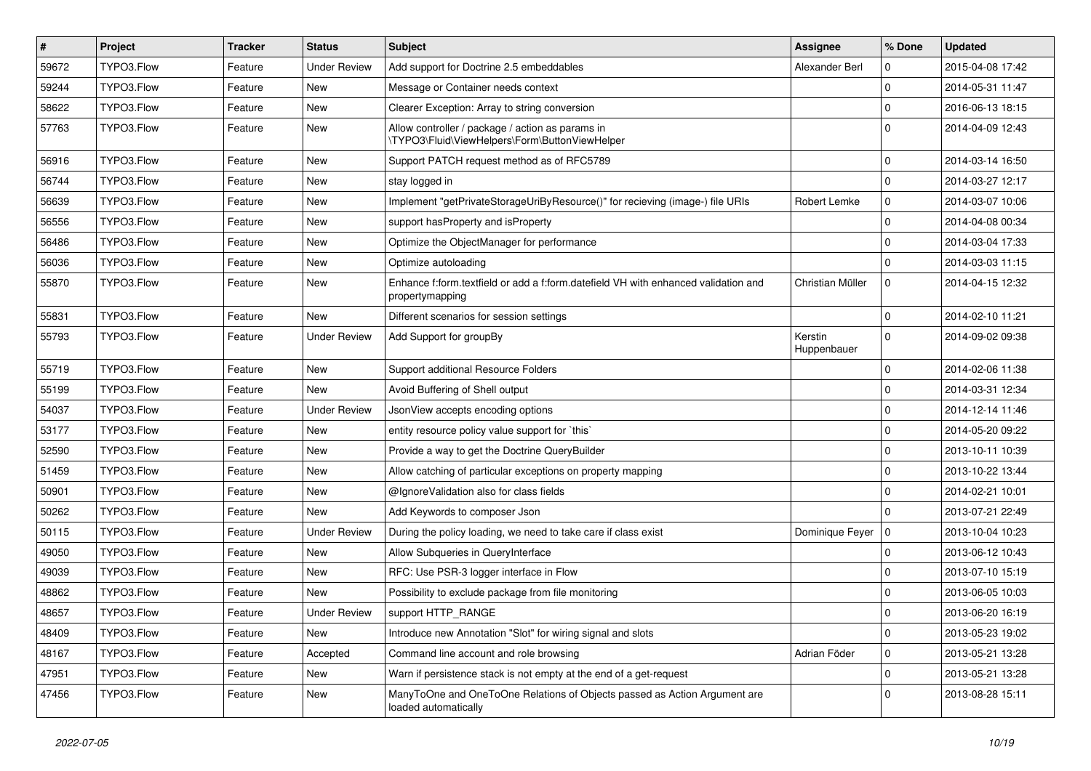| $\vert$ # | Project    | <b>Tracker</b> | <b>Status</b>       | Subject                                                                                               | <b>Assignee</b>        | % Done      | <b>Updated</b>   |
|-----------|------------|----------------|---------------------|-------------------------------------------------------------------------------------------------------|------------------------|-------------|------------------|
| 59672     | TYPO3.Flow | Feature        | <b>Under Review</b> | Add support for Doctrine 2.5 embeddables                                                              | Alexander Berl         | 0           | 2015-04-08 17:42 |
| 59244     | TYPO3.Flow | Feature        | New                 | Message or Container needs context                                                                    |                        | 0           | 2014-05-31 11:47 |
| 58622     | TYPO3.Flow | Feature        | <b>New</b>          | Clearer Exception: Array to string conversion                                                         |                        | $\mathbf 0$ | 2016-06-13 18:15 |
| 57763     | TYPO3.Flow | Feature        | New                 | Allow controller / package / action as params in<br>\TYPO3\Fluid\ViewHelpers\Form\ButtonViewHelper    |                        | $\Omega$    | 2014-04-09 12:43 |
| 56916     | TYPO3.Flow | Feature        | New                 | Support PATCH request method as of RFC5789                                                            |                        | $\mathbf 0$ | 2014-03-14 16:50 |
| 56744     | TYPO3.Flow | Feature        | <b>New</b>          | stay logged in                                                                                        |                        | 0           | 2014-03-27 12:17 |
| 56639     | TYPO3.Flow | Feature        | New                 | Implement "getPrivateStorageUriByResource()" for recieving (image-) file URIs                         | Robert Lemke           | 0           | 2014-03-07 10:06 |
| 56556     | TYPO3.Flow | Feature        | New                 | support has Property and is Property                                                                  |                        | 0           | 2014-04-08 00:34 |
| 56486     | TYPO3.Flow | Feature        | New                 | Optimize the ObjectManager for performance                                                            |                        | 0           | 2014-03-04 17:33 |
| 56036     | TYPO3.Flow | Feature        | <b>New</b>          | Optimize autoloading                                                                                  |                        | $\Omega$    | 2014-03-03 11:15 |
| 55870     | TYPO3.Flow | Feature        | New                 | Enhance f:form.textfield or add a f:form.datefield VH with enhanced validation and<br>propertymapping | Christian Müller       | $\mathbf 0$ | 2014-04-15 12:32 |
| 55831     | TYPO3.Flow | Feature        | New                 | Different scenarios for session settings                                                              |                        | 0           | 2014-02-10 11:21 |
| 55793     | TYPO3.Flow | Feature        | <b>Under Review</b> | Add Support for groupBy                                                                               | Kerstin<br>Huppenbauer | $\Omega$    | 2014-09-02 09:38 |
| 55719     | TYPO3.Flow | Feature        | <b>New</b>          | Support additional Resource Folders                                                                   |                        | 0           | 2014-02-06 11:38 |
| 55199     | TYPO3.Flow | Feature        | New                 | Avoid Buffering of Shell output                                                                       |                        | 0           | 2014-03-31 12:34 |
| 54037     | TYPO3.Flow | Feature        | <b>Under Review</b> | JsonView accepts encoding options                                                                     |                        | 0           | 2014-12-14 11:46 |
| 53177     | TYPO3.Flow | Feature        | New                 | entity resource policy value support for `this`                                                       |                        | $\mathbf 0$ | 2014-05-20 09:22 |
| 52590     | TYPO3.Flow | Feature        | New                 | Provide a way to get the Doctrine QueryBuilder                                                        |                        | $\mathbf 0$ | 2013-10-11 10:39 |
| 51459     | TYPO3.Flow | Feature        | New                 | Allow catching of particular exceptions on property mapping                                           |                        | $\mathbf 0$ | 2013-10-22 13:44 |
| 50901     | TYPO3.Flow | Feature        | New                 | @IgnoreValidation also for class fields                                                               |                        | $\mathbf 0$ | 2014-02-21 10:01 |
| 50262     | TYPO3.Flow | Feature        | <b>New</b>          | Add Keywords to composer Json                                                                         |                        | $\Omega$    | 2013-07-21 22:49 |
| 50115     | TYPO3.Flow | Feature        | <b>Under Review</b> | During the policy loading, we need to take care if class exist                                        | Dominique Feyer        | 0           | 2013-10-04 10:23 |
| 49050     | TYPO3.Flow | Feature        | <b>New</b>          | Allow Subqueries in QueryInterface                                                                    |                        | 0           | 2013-06-12 10:43 |
| 49039     | TYPO3.Flow | Feature        | New                 | RFC: Use PSR-3 logger interface in Flow                                                               |                        | $\mathbf 0$ | 2013-07-10 15:19 |
| 48862     | TYPO3.Flow | Feature        | <b>New</b>          | Possibility to exclude package from file monitoring                                                   |                        | $\mathbf 0$ | 2013-06-05 10:03 |
| 48657     | TYPO3.Flow | Feature        | <b>Under Review</b> | support HTTP_RANGE                                                                                    |                        | 0           | 2013-06-20 16:19 |
| 48409     | TYPO3.Flow | Feature        | New                 | Introduce new Annotation "Slot" for wiring signal and slots                                           |                        | $\mathbf 0$ | 2013-05-23 19:02 |
| 48167     | TYPO3.Flow | Feature        | Accepted            | Command line account and role browsing                                                                | Adrian Föder           | 0           | 2013-05-21 13:28 |
| 47951     | TYPO3.Flow | Feature        | New                 | Warn if persistence stack is not empty at the end of a get-request                                    |                        | $\mathbf 0$ | 2013-05-21 13:28 |
| 47456     | TYPO3.Flow | Feature        | New                 | ManyToOne and OneToOne Relations of Objects passed as Action Argument are<br>loaded automatically     |                        | $\Omega$    | 2013-08-28 15:11 |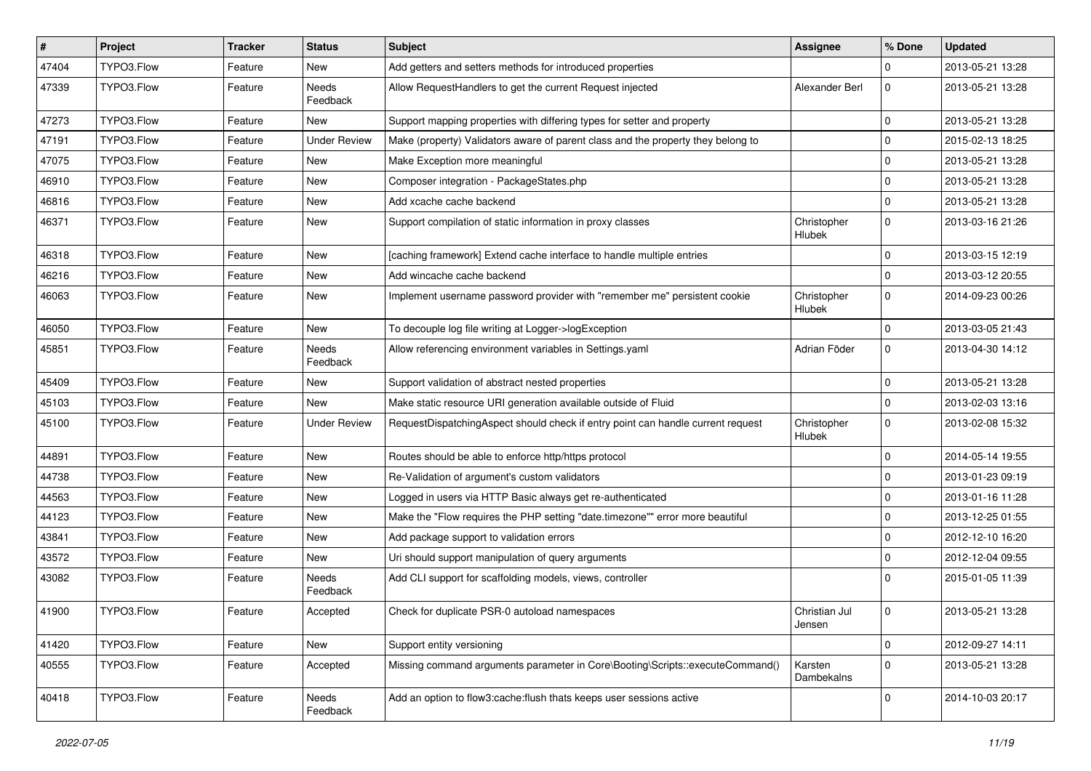| $\pmb{\#}$ | Project    | <b>Tracker</b> | <b>Status</b>            | Subject                                                                          | <b>Assignee</b>              | % Done      | <b>Updated</b>   |
|------------|------------|----------------|--------------------------|----------------------------------------------------------------------------------|------------------------------|-------------|------------------|
| 47404      | TYPO3.Flow | Feature        | New                      | Add getters and setters methods for introduced properties                        |                              | 0           | 2013-05-21 13:28 |
| 47339      | TYPO3.Flow | Feature        | <b>Needs</b><br>Feedback | Allow RequestHandlers to get the current Request injected                        | Alexander Berl               | $\mathbf 0$ | 2013-05-21 13:28 |
| 47273      | TYPO3.Flow | Feature        | New                      | Support mapping properties with differing types for setter and property          |                              | $\mathbf 0$ | 2013-05-21 13:28 |
| 47191      | TYPO3.Flow | Feature        | <b>Under Review</b>      | Make (property) Validators aware of parent class and the property they belong to |                              | $\mathbf 0$ | 2015-02-13 18:25 |
| 47075      | TYPO3.Flow | Feature        | New                      | Make Exception more meaningful                                                   |                              | $\mathbf 0$ | 2013-05-21 13:28 |
| 46910      | TYPO3.Flow | Feature        | New                      | Composer integration - PackageStates.php                                         |                              | $\mathbf 0$ | 2013-05-21 13:28 |
| 46816      | TYPO3.Flow | Feature        | New                      | Add xcache cache backend                                                         |                              | $\mathbf 0$ | 2013-05-21 13:28 |
| 46371      | TYPO3.Flow | Feature        | New                      | Support compilation of static information in proxy classes                       | Christopher<br><b>Hlubek</b> | $\mathbf 0$ | 2013-03-16 21:26 |
| 46318      | TYPO3.Flow | Feature        | New                      | [caching framework] Extend cache interface to handle multiple entries            |                              | $\mathbf 0$ | 2013-03-15 12:19 |
| 46216      | TYPO3.Flow | Feature        | New                      | Add wincache cache backend                                                       |                              | $\mathbf 0$ | 2013-03-12 20:55 |
| 46063      | TYPO3.Flow | Feature        | New                      | Implement username password provider with "remember me" persistent cookie        | Christopher<br><b>Hlubek</b> | $\Omega$    | 2014-09-23 00:26 |
| 46050      | TYPO3.Flow | Feature        | New                      | To decouple log file writing at Logger->logException                             |                              | $\mathbf 0$ | 2013-03-05 21:43 |
| 45851      | TYPO3.Flow | Feature        | Needs<br>Feedback        | Allow referencing environment variables in Settings.yaml                         | Adrian Föder                 | $\mathbf 0$ | 2013-04-30 14:12 |
| 45409      | TYPO3.Flow | Feature        | New                      | Support validation of abstract nested properties                                 |                              | $\mathbf 0$ | 2013-05-21 13:28 |
| 45103      | TYPO3.Flow | Feature        | New                      | Make static resource URI generation available outside of Fluid                   |                              | $\mathbf 0$ | 2013-02-03 13:16 |
| 45100      | TYPO3.Flow | Feature        | <b>Under Review</b>      | RequestDispatchingAspect should check if entry point can handle current request  | Christopher<br>Hlubek        | $\Omega$    | 2013-02-08 15:32 |
| 44891      | TYPO3.Flow | Feature        | New                      | Routes should be able to enforce http/https protocol                             |                              | $\mathbf 0$ | 2014-05-14 19:55 |
| 44738      | TYPO3.Flow | Feature        | New                      | Re-Validation of argument's custom validators                                    |                              | $\mathbf 0$ | 2013-01-23 09:19 |
| 44563      | TYPO3.Flow | Feature        | New                      | Logged in users via HTTP Basic always get re-authenticated                       |                              | $\mathbf 0$ | 2013-01-16 11:28 |
| 44123      | TYPO3.Flow | Feature        | New                      | Make the "Flow requires the PHP setting "date.timezone"" error more beautiful    |                              | $\mathbf 0$ | 2013-12-25 01:55 |
| 43841      | TYPO3.Flow | Feature        | New                      | Add package support to validation errors                                         |                              | $\mathbf 0$ | 2012-12-10 16:20 |
| 43572      | TYPO3.Flow | Feature        | New                      | Uri should support manipulation of query arguments                               |                              | $\mathbf 0$ | 2012-12-04 09:55 |
| 43082      | TYPO3.Flow | Feature        | Needs<br>Feedback        | Add CLI support for scaffolding models, views, controller                        |                              | $\Omega$    | 2015-01-05 11:39 |
| 41900      | TYPO3.Flow | Feature        | Accepted                 | Check for duplicate PSR-0 autoload namespaces                                    | Christian Jul<br>Jensen      | $\mathbf 0$ | 2013-05-21 13:28 |
| 41420      | TYPO3.Flow | Feature        | New                      | Support entity versioning                                                        |                              | $\mathbf 0$ | 2012-09-27 14:11 |
| 40555      | TYPO3.Flow | Feature        | Accepted                 | Missing command arguments parameter in Core\Booting\Scripts::executeCommand()    | Karsten<br>Dambekalns        | $\mathbf 0$ | 2013-05-21 13:28 |
| 40418      | TYPO3.Flow | Feature        | Needs<br>Feedback        | Add an option to flow3: cache: flush thats keeps user sessions active            |                              | 0           | 2014-10-03 20:17 |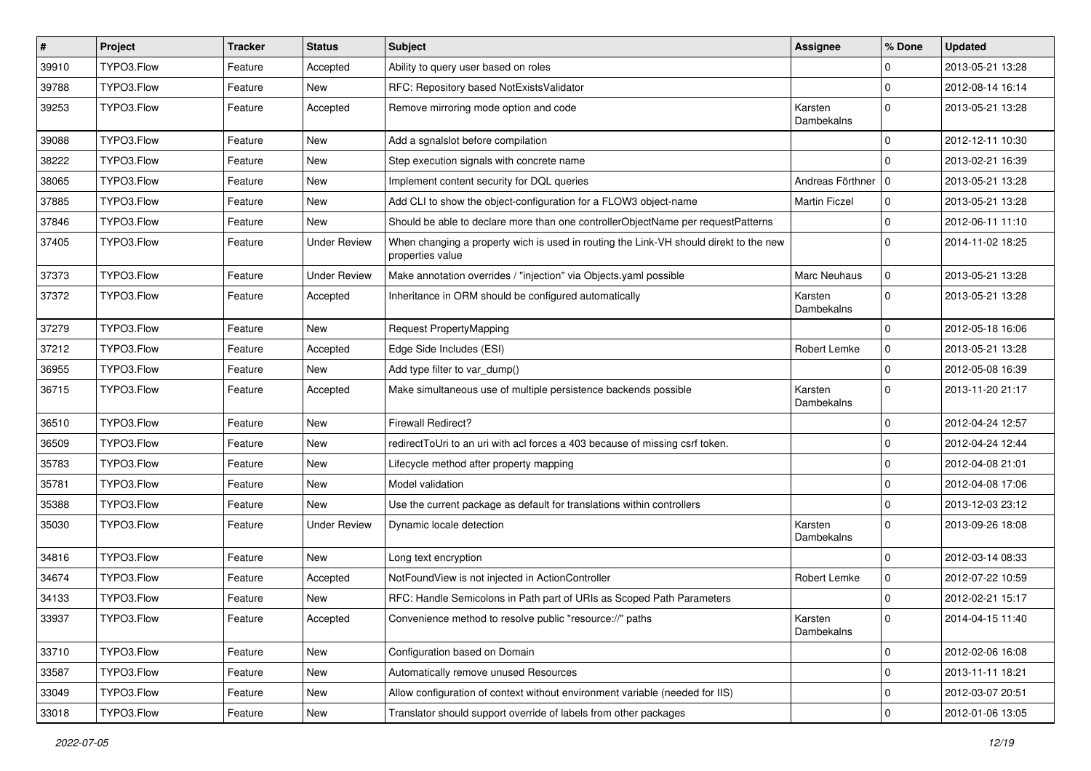| $\vert$ # | Project    | <b>Tracker</b> | <b>Status</b>       | Subject                                                                                                   | <b>Assignee</b>       | % Done      | <b>Updated</b>   |
|-----------|------------|----------------|---------------------|-----------------------------------------------------------------------------------------------------------|-----------------------|-------------|------------------|
| 39910     | TYPO3.Flow | Feature        | Accepted            | Ability to query user based on roles                                                                      |                       | 0           | 2013-05-21 13:28 |
| 39788     | TYPO3.Flow | Feature        | New                 | RFC: Repository based NotExistsValidator                                                                  |                       | 0           | 2012-08-14 16:14 |
| 39253     | TYPO3.Flow | Feature        | Accepted            | Remove mirroring mode option and code                                                                     | Karsten<br>Dambekalns | $\Omega$    | 2013-05-21 13:28 |
| 39088     | TYPO3.Flow | Feature        | New                 | Add a sgnalslot before compilation                                                                        |                       | $\mathbf 0$ | 2012-12-11 10:30 |
| 38222     | TYPO3.Flow | Feature        | New                 | Step execution signals with concrete name                                                                 |                       | $\Omega$    | 2013-02-21 16:39 |
| 38065     | TYPO3.Flow | Feature        | New                 | Implement content security for DQL queries                                                                | Andreas Förthner   0  |             | 2013-05-21 13:28 |
| 37885     | TYPO3.Flow | Feature        | New                 | Add CLI to show the object-configuration for a FLOW3 object-name                                          | <b>Martin Ficzel</b>  | $\mathbf 0$ | 2013-05-21 13:28 |
| 37846     | TYPO3.Flow | Feature        | New                 | Should be able to declare more than one controllerObjectName per requestPatterns                          |                       | 0           | 2012-06-11 11:10 |
| 37405     | TYPO3.Flow | Feature        | <b>Under Review</b> | When changing a property wich is used in routing the Link-VH should direkt to the new<br>properties value |                       | $\Omega$    | 2014-11-02 18:25 |
| 37373     | TYPO3.Flow | Feature        | <b>Under Review</b> | Make annotation overrides / "injection" via Objects.yaml possible                                         | Marc Neuhaus          | $\mathbf 0$ | 2013-05-21 13:28 |
| 37372     | TYPO3.Flow | Feature        | Accepted            | Inheritance in ORM should be configured automatically                                                     | Karsten<br>Dambekalns | $\Omega$    | 2013-05-21 13:28 |
| 37279     | TYPO3.Flow | Feature        | <b>New</b>          | <b>Request PropertyMapping</b>                                                                            |                       | $\mathbf 0$ | 2012-05-18 16:06 |
| 37212     | TYPO3.Flow | Feature        | Accepted            | Edge Side Includes (ESI)                                                                                  | Robert Lemke          | $\mathbf 0$ | 2013-05-21 13:28 |
| 36955     | TYPO3.Flow | Feature        | <b>New</b>          | Add type filter to var_dump()                                                                             |                       | 0           | 2012-05-08 16:39 |
| 36715     | TYPO3.Flow | Feature        | Accepted            | Make simultaneous use of multiple persistence backends possible                                           | Karsten<br>Dambekalns | $\Omega$    | 2013-11-20 21:17 |
| 36510     | TYPO3.Flow | Feature        | New                 | <b>Firewall Redirect?</b>                                                                                 |                       | 0           | 2012-04-24 12:57 |
| 36509     | TYPO3.Flow | Feature        | <b>New</b>          | redirectToUri to an uri with acl forces a 403 because of missing csrf token.                              |                       | $\mathbf 0$ | 2012-04-24 12:44 |
| 35783     | TYPO3.Flow | Feature        | New                 | Lifecycle method after property mapping                                                                   |                       | $\mathbf 0$ | 2012-04-08 21:01 |
| 35781     | TYPO3.Flow | Feature        | New                 | Model validation                                                                                          |                       | $\mathbf 0$ | 2012-04-08 17:06 |
| 35388     | TYPO3.Flow | Feature        | New                 | Use the current package as default for translations within controllers                                    |                       | $\mathbf 0$ | 2013-12-03 23:12 |
| 35030     | TYPO3.Flow | Feature        | <b>Under Review</b> | Dynamic locale detection                                                                                  | Karsten<br>Dambekalns | $\Omega$    | 2013-09-26 18:08 |
| 34816     | TYPO3.Flow | Feature        | <b>New</b>          | Long text encryption                                                                                      |                       | $\mathbf 0$ | 2012-03-14 08:33 |
| 34674     | TYPO3.Flow | Feature        | Accepted            | NotFoundView is not injected in ActionController                                                          | Robert Lemke          | $\mathbf 0$ | 2012-07-22 10:59 |
| 34133     | TYPO3.Flow | Feature        | <b>New</b>          | RFC: Handle Semicolons in Path part of URIs as Scoped Path Parameters                                     |                       | 0           | 2012-02-21 15:17 |
| 33937     | TYPO3.Flow | Feature        | Accepted            | Convenience method to resolve public "resource://" paths                                                  | Karsten<br>Dambekalns | 0           | 2014-04-15 11:40 |
| 33710     | TYPO3.Flow | Feature        | New                 | Configuration based on Domain                                                                             |                       | 0           | 2012-02-06 16:08 |
| 33587     | TYPO3.Flow | Feature        | New                 | Automatically remove unused Resources                                                                     |                       | 0           | 2013-11-11 18:21 |
| 33049     | TYPO3.Flow | Feature        | New                 | Allow configuration of context without environment variable (needed for IIS)                              |                       | 0           | 2012-03-07 20:51 |
| 33018     | TYPO3.Flow | Feature        | New                 | Translator should support override of labels from other packages                                          |                       | $\mathbf 0$ | 2012-01-06 13:05 |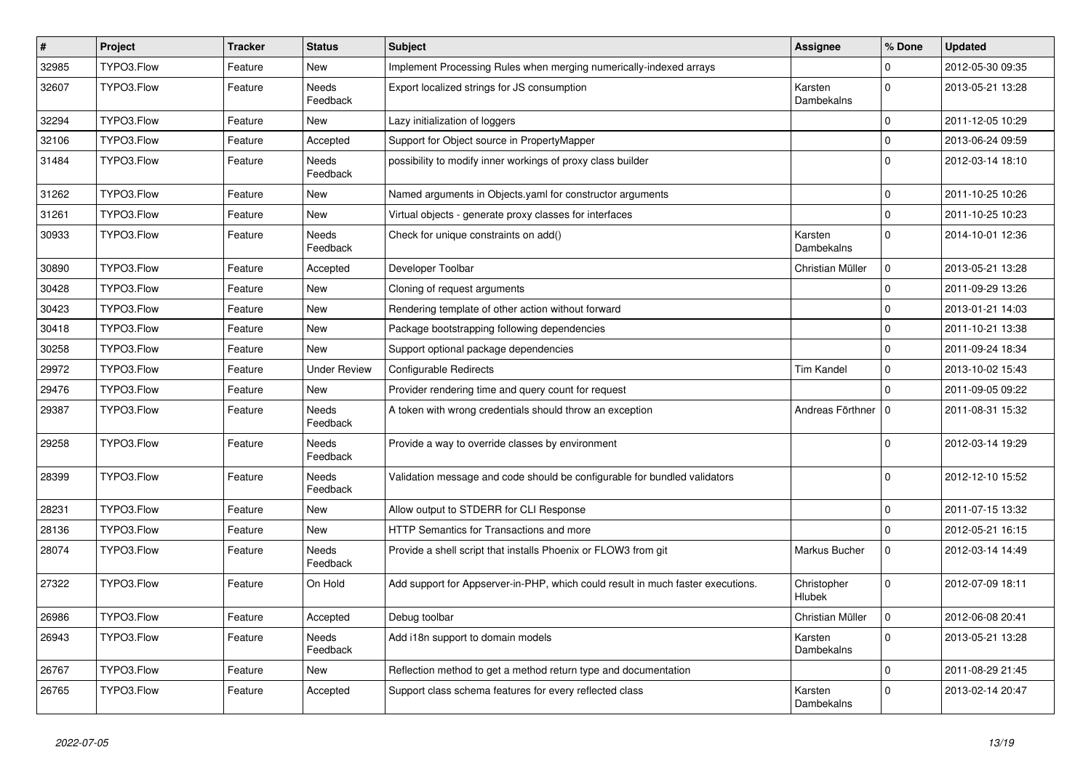| $\vert$ # | Project    | <b>Tracker</b> | <b>Status</b>            | Subject                                                                         | <b>Assignee</b>       | % Done      | <b>Updated</b>   |
|-----------|------------|----------------|--------------------------|---------------------------------------------------------------------------------|-----------------------|-------------|------------------|
| 32985     | TYPO3.Flow | Feature        | New                      | Implement Processing Rules when merging numerically-indexed arrays              |                       | $\mathbf 0$ | 2012-05-30 09:35 |
| 32607     | TYPO3.Flow | Feature        | <b>Needs</b><br>Feedback | Export localized strings for JS consumption                                     | Karsten<br>Dambekalns | $\Omega$    | 2013-05-21 13:28 |
| 32294     | TYPO3.Flow | Feature        | New                      | Lazy initialization of loggers                                                  |                       | $\Omega$    | 2011-12-05 10:29 |
| 32106     | TYPO3.Flow | Feature        | Accepted                 | Support for Object source in PropertyMapper                                     |                       | $\Omega$    | 2013-06-24 09:59 |
| 31484     | TYPO3.Flow | Feature        | Needs<br>Feedback        | possibility to modify inner workings of proxy class builder                     |                       | $\Omega$    | 2012-03-14 18:10 |
| 31262     | TYPO3.Flow | Feature        | New                      | Named arguments in Objects.yaml for constructor arguments                       |                       | $\mathbf 0$ | 2011-10-25 10:26 |
| 31261     | TYPO3.Flow | Feature        | New                      | Virtual objects - generate proxy classes for interfaces                         |                       | $\Omega$    | 2011-10-25 10:23 |
| 30933     | TYPO3.Flow | Feature        | Needs<br>Feedback        | Check for unique constraints on add()                                           | Karsten<br>Dambekalns | $\Omega$    | 2014-10-01 12:36 |
| 30890     | TYPO3.Flow | Feature        | Accepted                 | Developer Toolbar                                                               | Christian Müller      | $\Omega$    | 2013-05-21 13:28 |
| 30428     | TYPO3.Flow | Feature        | New                      | Cloning of request arguments                                                    |                       | $\mathbf 0$ | 2011-09-29 13:26 |
| 30423     | TYPO3.Flow | Feature        | New                      | Rendering template of other action without forward                              |                       | $\Omega$    | 2013-01-21 14:03 |
| 30418     | TYPO3.Flow | Feature        | New                      | Package bootstrapping following dependencies                                    |                       | $\mathbf 0$ | 2011-10-21 13:38 |
| 30258     | TYPO3.Flow | Feature        | New                      | Support optional package dependencies                                           |                       | $\mathbf 0$ | 2011-09-24 18:34 |
| 29972     | TYPO3.Flow | Feature        | <b>Under Review</b>      | Configurable Redirects                                                          | <b>Tim Kandel</b>     | $\mathbf 0$ | 2013-10-02 15:43 |
| 29476     | TYPO3.Flow | Feature        | New                      | Provider rendering time and query count for request                             |                       | $\Omega$    | 2011-09-05 09:22 |
| 29387     | TYPO3.Flow | Feature        | Needs<br>Feedback        | A token with wrong credentials should throw an exception                        | Andreas Förthner   0  |             | 2011-08-31 15:32 |
| 29258     | TYPO3.Flow | Feature        | Needs<br>Feedback        | Provide a way to override classes by environment                                |                       | $\Omega$    | 2012-03-14 19:29 |
| 28399     | TYPO3.Flow | Feature        | Needs<br>Feedback        | Validation message and code should be configurable for bundled validators       |                       | $\Omega$    | 2012-12-10 15:52 |
| 28231     | TYPO3.Flow | Feature        | New                      | Allow output to STDERR for CLI Response                                         |                       | $\Omega$    | 2011-07-15 13:32 |
| 28136     | TYPO3.Flow | Feature        | New                      | HTTP Semantics for Transactions and more                                        |                       | $\Omega$    | 2012-05-21 16:15 |
| 28074     | TYPO3.Flow | Feature        | Needs<br>Feedback        | Provide a shell script that installs Phoenix or FLOW3 from git                  | Markus Bucher         | $\mathbf 0$ | 2012-03-14 14:49 |
| 27322     | TYPO3.Flow | Feature        | On Hold                  | Add support for Appserver-in-PHP, which could result in much faster executions. | Christopher<br>Hlubek | $\Omega$    | 2012-07-09 18:11 |
| 26986     | TYPO3.Flow | Feature        | Accepted                 | Debug toolbar                                                                   | Christian Müller      |             | 2012-06-08 20:41 |
| 26943     | TYPO3.Flow | Feature        | Needs<br>Feedback        | Add i18n support to domain models                                               | Karsten<br>Dambekalns | $\mathbf 0$ | 2013-05-21 13:28 |
| 26767     | TYPO3.Flow | Feature        | New                      | Reflection method to get a method return type and documentation                 |                       | $\mathsf 0$ | 2011-08-29 21:45 |
| 26765     | TYPO3.Flow | Feature        | Accepted                 | Support class schema features for every reflected class                         | Karsten<br>Dambekalns | $\mathbf 0$ | 2013-02-14 20:47 |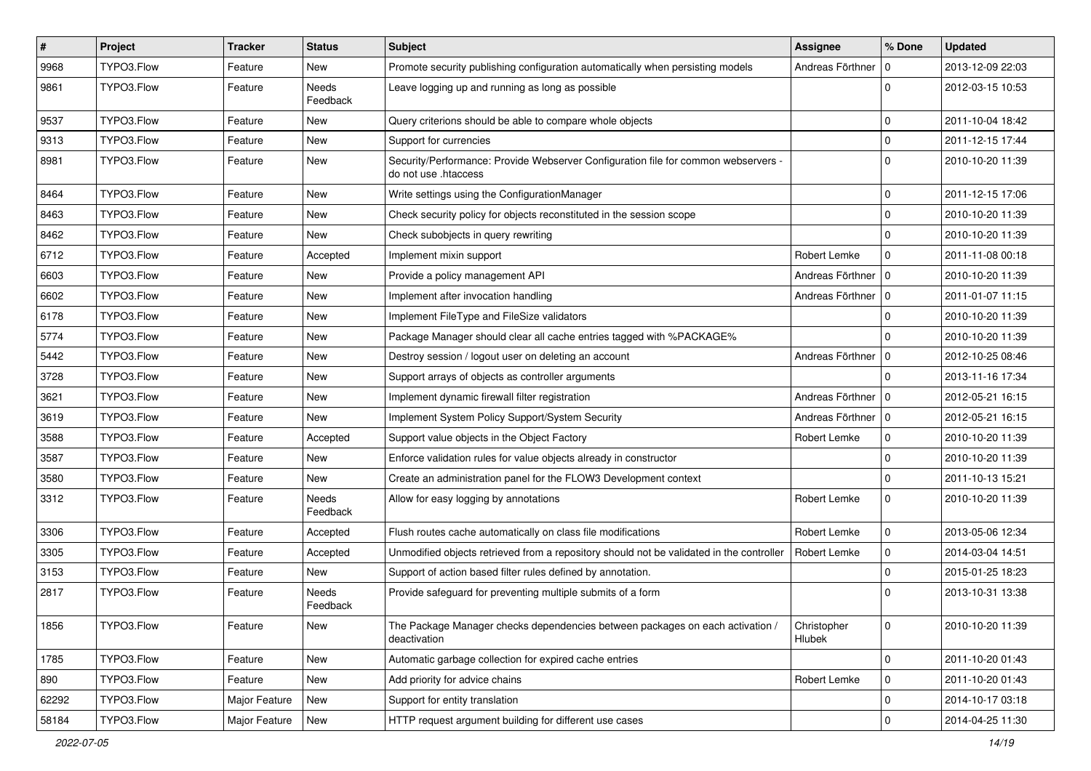| $\vert$ # | Project    | <b>Tracker</b> | <b>Status</b>     | <b>Subject</b>                                                                                             | Assignee              | % Done      | <b>Updated</b>   |
|-----------|------------|----------------|-------------------|------------------------------------------------------------------------------------------------------------|-----------------------|-------------|------------------|
| 9968      | TYPO3.Flow | Feature        | New               | Promote security publishing configuration automatically when persisting models                             | Andreas Förthner      | $\mathbf 0$ | 2013-12-09 22:03 |
| 9861      | TYPO3.Flow | Feature        | Needs<br>Feedback | Leave logging up and running as long as possible                                                           |                       | $\Omega$    | 2012-03-15 10:53 |
| 9537      | TYPO3.Flow | Feature        | New               | Query criterions should be able to compare whole objects                                                   |                       | 0           | 2011-10-04 18:42 |
| 9313      | TYPO3.Flow | Feature        | New               | Support for currencies                                                                                     |                       | 0           | 2011-12-15 17:44 |
| 8981      | TYPO3.Flow | Feature        | New               | Security/Performance: Provide Webserver Configuration file for common webservers -<br>do not use .htaccess |                       | $\mathbf 0$ | 2010-10-20 11:39 |
| 8464      | TYPO3.Flow | Feature        | New               | Write settings using the ConfigurationManager                                                              |                       | 0           | 2011-12-15 17:06 |
| 8463      | TYPO3.Flow | Feature        | New               | Check security policy for objects reconstituted in the session scope                                       |                       | 0           | 2010-10-20 11:39 |
| 8462      | TYPO3.Flow | Feature        | New               | Check subobjects in query rewriting                                                                        |                       | 0           | 2010-10-20 11:39 |
| 6712      | TYPO3.Flow | Feature        | Accepted          | Implement mixin support                                                                                    | Robert Lemke          | $\mathbf 0$ | 2011-11-08 00:18 |
| 6603      | TYPO3.Flow | Feature        | New               | Provide a policy management API                                                                            | Andreas Förthner   0  |             | 2010-10-20 11:39 |
| 6602      | TYPO3.Flow | Feature        | New               | Implement after invocation handling                                                                        | Andreas Förthner   0  |             | 2011-01-07 11:15 |
| 6178      | TYPO3.Flow | Feature        | New               | Implement FileType and FileSize validators                                                                 |                       | 0           | 2010-10-20 11:39 |
| 5774      | TYPO3.Flow | Feature        | New               | Package Manager should clear all cache entries tagged with %PACKAGE%                                       |                       | $\Omega$    | 2010-10-20 11:39 |
| 5442      | TYPO3.Flow | Feature        | New               | Destroy session / logout user on deleting an account                                                       | Andreas Förthner   0  |             | 2012-10-25 08:46 |
| 3728      | TYPO3.Flow | Feature        | New               | Support arrays of objects as controller arguments                                                          |                       | $\mathbf 0$ | 2013-11-16 17:34 |
| 3621      | TYPO3.Flow | Feature        | New               | Implement dynamic firewall filter registration                                                             | Andreas Förthner   0  |             | 2012-05-21 16:15 |
| 3619      | TYPO3.Flow | Feature        | New               | Implement System Policy Support/System Security                                                            | Andreas Förthner   0  |             | 2012-05-21 16:15 |
| 3588      | TYPO3.Flow | Feature        | Accepted          | Support value objects in the Object Factory                                                                | Robert Lemke          | $\mathbf 0$ | 2010-10-20 11:39 |
| 3587      | TYPO3.Flow | Feature        | New               | Enforce validation rules for value objects already in constructor                                          |                       | 0           | 2010-10-20 11:39 |
| 3580      | TYPO3.Flow | Feature        | New               | Create an administration panel for the FLOW3 Development context                                           |                       | $\mathbf 0$ | 2011-10-13 15:21 |
| 3312      | TYPO3.Flow | Feature        | Needs<br>Feedback | Allow for easy logging by annotations                                                                      | Robert Lemke          | $\mathbf 0$ | 2010-10-20 11:39 |
| 3306      | TYPO3.Flow | Feature        | Accepted          | Flush routes cache automatically on class file modifications                                               | Robert Lemke          | 0           | 2013-05-06 12:34 |
| 3305      | TYPO3.Flow | Feature        | Accepted          | Unmodified objects retrieved from a repository should not be validated in the controller                   | Robert Lemke          | 0           | 2014-03-04 14:51 |
| 3153      | TYPO3.Flow | Feature        | New               | Support of action based filter rules defined by annotation.                                                |                       | $\mathbf 0$ | 2015-01-25 18:23 |
| 2817      | TYPO3.Flow | Feature        | Needs<br>Feedback | Provide safeguard for preventing multiple submits of a form                                                |                       | $\Omega$    | 2013-10-31 13:38 |
| 1856      | TYPO3.Flow | Feature        | New               | The Package Manager checks dependencies between packages on each activation /<br>deactivation              | Christopher<br>Hlubek | 0           | 2010-10-20 11:39 |
| 1785      | TYPO3.Flow | Feature        | New               | Automatic garbage collection for expired cache entries                                                     |                       | 0           | 2011-10-20 01:43 |
| 890       | TYPO3.Flow | Feature        | New               | Add priority for advice chains                                                                             | Robert Lemke          | 0           | 2011-10-20 01:43 |
| 62292     | TYPO3.Flow | Major Feature  | New               | Support for entity translation                                                                             |                       | 0           | 2014-10-17 03:18 |
| 58184     | TYPO3.Flow | Major Feature  | New               | HTTP request argument building for different use cases                                                     |                       | $\mathbf 0$ | 2014-04-25 11:30 |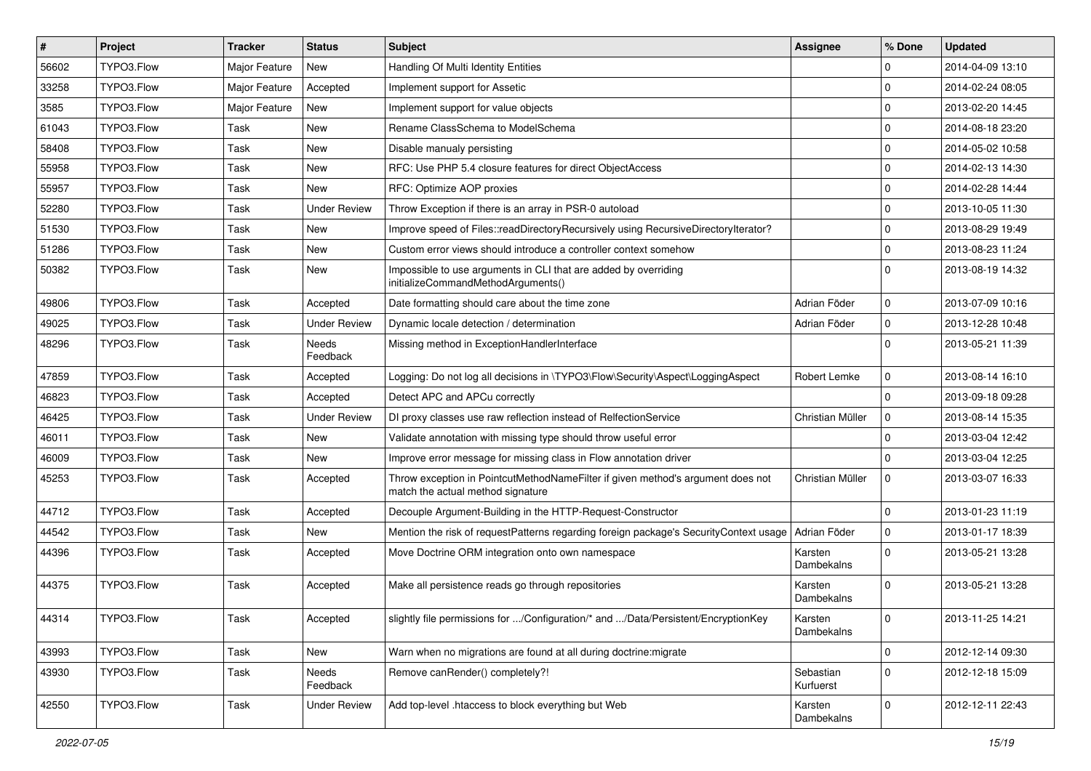| #     | Project    | Tracker       | <b>Status</b>            | Subject                                                                                                              | Assignee               | % Done      | <b>Updated</b>   |
|-------|------------|---------------|--------------------------|----------------------------------------------------------------------------------------------------------------------|------------------------|-------------|------------------|
| 56602 | TYPO3.Flow | Major Feature | <b>New</b>               | Handling Of Multi Identity Entities                                                                                  |                        | 0           | 2014-04-09 13:10 |
| 33258 | TYPO3.Flow | Major Feature | Accepted                 | Implement support for Assetic                                                                                        |                        | $\Omega$    | 2014-02-24 08:05 |
| 3585  | TYPO3.Flow | Major Feature | <b>New</b>               | Implement support for value objects                                                                                  |                        | $\Omega$    | 2013-02-20 14:45 |
| 61043 | TYPO3.Flow | Task          | New                      | Rename ClassSchema to ModelSchema                                                                                    |                        | $\mathbf 0$ | 2014-08-18 23:20 |
| 58408 | TYPO3.Flow | Task          | New                      | Disable manualy persisting                                                                                           |                        | $\mathbf 0$ | 2014-05-02 10:58 |
| 55958 | TYPO3.Flow | Task          | New                      | RFC: Use PHP 5.4 closure features for direct ObjectAccess                                                            |                        | $\mathbf 0$ | 2014-02-13 14:30 |
| 55957 | TYPO3.Flow | Task          | New                      | RFC: Optimize AOP proxies                                                                                            |                        | $\Omega$    | 2014-02-28 14:44 |
| 52280 | TYPO3.Flow | Task          | <b>Under Review</b>      | Throw Exception if there is an array in PSR-0 autoload                                                               |                        | $\Omega$    | 2013-10-05 11:30 |
| 51530 | TYPO3.Flow | Task          | New                      | Improve speed of Files::readDirectoryRecursively using RecursiveDirectoryIterator?                                   |                        | $\mathbf 0$ | 2013-08-29 19:49 |
| 51286 | TYPO3.Flow | Task          | New                      | Custom error views should introduce a controller context somehow                                                     |                        | $\Omega$    | 2013-08-23 11:24 |
| 50382 | TYPO3.Flow | Task          | New                      | Impossible to use arguments in CLI that are added by overriding<br>initializeCommandMethodArguments()                |                        | $\Omega$    | 2013-08-19 14:32 |
| 49806 | TYPO3.Flow | Task          | Accepted                 | Date formatting should care about the time zone                                                                      | Adrian Föder           | $\mathbf 0$ | 2013-07-09 10:16 |
| 49025 | TYPO3.Flow | Task          | <b>Under Review</b>      | Dynamic locale detection / determination                                                                             | Adrian Föder           | $\mathbf 0$ | 2013-12-28 10:48 |
| 48296 | TYPO3.Flow | Task          | <b>Needs</b><br>Feedback | Missing method in ExceptionHandlerInterface                                                                          |                        | $\Omega$    | 2013-05-21 11:39 |
| 47859 | TYPO3.Flow | Task          | Accepted                 | Logging: Do not log all decisions in \TYPO3\Flow\Security\Aspect\LoggingAspect                                       | Robert Lemke           | $\mathbf 0$ | 2013-08-14 16:10 |
| 46823 | TYPO3.Flow | Task          | Accepted                 | Detect APC and APCu correctly                                                                                        |                        | $\Omega$    | 2013-09-18 09:28 |
| 46425 | TYPO3.Flow | Task          | <b>Under Review</b>      | DI proxy classes use raw reflection instead of RelfectionService                                                     | Christian Müller       | $\mathbf 0$ | 2013-08-14 15:35 |
| 46011 | TYPO3.Flow | Task          | New                      | Validate annotation with missing type should throw useful error                                                      |                        | $\Omega$    | 2013-03-04 12:42 |
| 46009 | TYPO3.Flow | Task          | New                      | Improve error message for missing class in Flow annotation driver                                                    |                        | 0           | 2013-03-04 12:25 |
| 45253 | TYPO3.Flow | Task          | Accepted                 | Throw exception in PointcutMethodNameFilter if given method's argument does not<br>match the actual method signature | Christian Müller       | $\Omega$    | 2013-03-07 16:33 |
| 44712 | TYPO3.Flow | Task          | Accepted                 | Decouple Argument-Building in the HTTP-Request-Constructor                                                           |                        | $\mathbf 0$ | 2013-01-23 11:19 |
| 44542 | TYPO3.Flow | Task          | New                      | Mention the risk of requestPatterns regarding foreign package's SecurityContext usage                                | Adrian Föder           | $\mathbf 0$ | 2013-01-17 18:39 |
| 44396 | TYPO3.Flow | Task          | Accepted                 | Move Doctrine ORM integration onto own namespace                                                                     | Karsten<br>Dambekalns  | $\Omega$    | 2013-05-21 13:28 |
| 44375 | TYPO3.Flow | Task          | Accepted                 | Make all persistence reads go through repositories                                                                   | Karsten<br>Dambekalns  | $\Omega$    | 2013-05-21 13:28 |
| 44314 | TYPO3.Flow | Task          | Accepted                 | slightly file permissions for /Configuration/* and /Data/Persistent/EncryptionKey                                    | Karsten<br>Dambekalns  | 0           | 2013-11-25 14:21 |
| 43993 | TYPO3.Flow | Task          | New                      | Warn when no migrations are found at all during doctrine: migrate                                                    |                        | 0           | 2012-12-14 09:30 |
| 43930 | TYPO3.Flow | Task          | Needs<br>Feedback        | Remove canRender() completely?!                                                                                      | Sebastian<br>Kurfuerst | $\mathbf 0$ | 2012-12-18 15:09 |
| 42550 | TYPO3.Flow | Task          | <b>Under Review</b>      | Add top-level .htaccess to block everything but Web                                                                  | Karsten<br>Dambekalns  | $\mathbf 0$ | 2012-12-11 22:43 |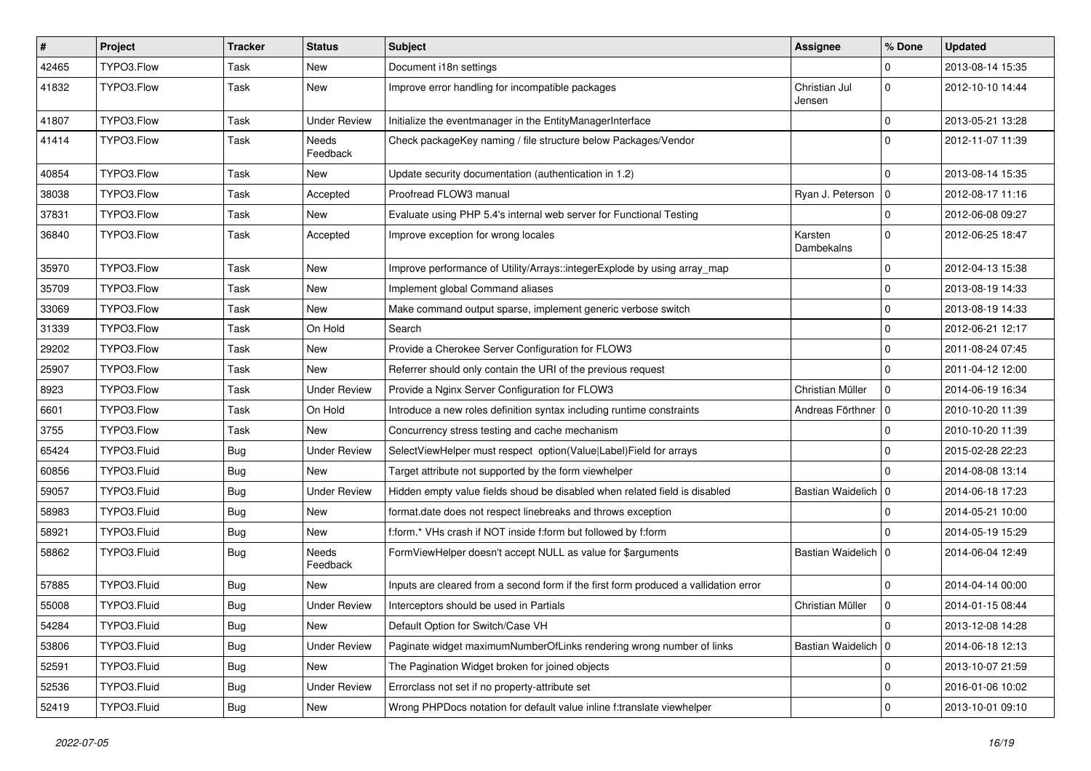| #     | Project     | <b>Tracker</b> | <b>Status</b>            | Subject                                                                              | <b>Assignee</b>         | % Done         | <b>Updated</b>   |
|-------|-------------|----------------|--------------------------|--------------------------------------------------------------------------------------|-------------------------|----------------|------------------|
| 42465 | TYPO3.Flow  | Task           | New                      | Document i18n settings                                                               |                         | $\Omega$       | 2013-08-14 15:35 |
| 41832 | TYPO3.Flow  | Task           | <b>New</b>               | Improve error handling for incompatible packages                                     | Christian Jul<br>Jensen | $\Omega$       | 2012-10-10 14:44 |
| 41807 | TYPO3.Flow  | Task           | <b>Under Review</b>      | Initialize the eventmanager in the EntityManagerInterface                            |                         | $\Omega$       | 2013-05-21 13:28 |
| 41414 | TYPO3.Flow  | Task           | <b>Needs</b><br>Feedback | Check packageKey naming / file structure below Packages/Vendor                       |                         | $\Omega$       | 2012-11-07 11:39 |
| 40854 | TYPO3.Flow  | Task           | New                      | Update security documentation (authentication in 1.2)                                |                         | ۱n.            | 2013-08-14 15:35 |
| 38038 | TYPO3.Flow  | Task           | Accepted                 | Proofread FLOW3 manual                                                               | Ryan J. Peterson        | $\overline{0}$ | 2012-08-17 11:16 |
| 37831 | TYPO3.Flow  | Task           | <b>New</b>               | Evaluate using PHP 5.4's internal web server for Functional Testing                  |                         | $\overline{0}$ | 2012-06-08 09:27 |
| 36840 | TYPO3.Flow  | Task           | Accepted                 | Improve exception for wrong locales                                                  | Karsten<br>Dambekalns   | $\Omega$       | 2012-06-25 18:47 |
| 35970 | TYPO3.Flow  | Task           | New                      | Improve performance of Utility/Arrays::integerExplode by using array_map             |                         | $\Omega$       | 2012-04-13 15:38 |
| 35709 | TYPO3.Flow  | Task           | <b>New</b>               | Implement global Command aliases                                                     |                         | $\Omega$       | 2013-08-19 14:33 |
| 33069 | TYPO3.Flow  | Task           | New                      | Make command output sparse, implement generic verbose switch                         |                         | $\Omega$       | 2013-08-19 14:33 |
| 31339 | TYPO3.Flow  | Task           | On Hold                  | Search                                                                               |                         | $\overline{0}$ | 2012-06-21 12:17 |
| 29202 | TYPO3.Flow  | Task           | New                      | Provide a Cherokee Server Configuration for FLOW3                                    |                         | 0              | 2011-08-24 07:45 |
| 25907 | TYPO3.Flow  | Task           | <b>New</b>               | Referrer should only contain the URI of the previous request                         |                         | $\Omega$       | 2011-04-12 12:00 |
| 8923  | TYPO3.Flow  | Task           | <b>Under Review</b>      | Provide a Nginx Server Configuration for FLOW3                                       | Christian Müller        | $\Omega$       | 2014-06-19 16:34 |
| 6601  | TYPO3.Flow  | Task           | On Hold                  | Introduce a new roles definition syntax including runtime constraints                | Andreas Förthner        | $\overline{0}$ | 2010-10-20 11:39 |
| 3755  | TYPO3.Flow  | Task           | <b>New</b>               | Concurrency stress testing and cache mechanism                                       |                         | $\Omega$       | 2010-10-20 11:39 |
| 65424 | TYPO3.Fluid | <b>Bug</b>     | <b>Under Review</b>      | SelectViewHelper must respect option(Value Label)Field for arrays                    |                         | $\overline{0}$ | 2015-02-28 22:23 |
| 60856 | TYPO3.Fluid | <b>Bug</b>     | <b>New</b>               | Target attribute not supported by the form viewhelper                                |                         | $\Omega$       | 2014-08-08 13:14 |
| 59057 | TYPO3.Fluid | <b>Bug</b>     | <b>Under Review</b>      | Hidden empty value fields shoud be disabled when related field is disabled           | Bastian Waidelich   0   |                | 2014-06-18 17:23 |
| 58983 | TYPO3.Fluid | <b>Bug</b>     | New                      | format.date does not respect linebreaks and throws exception                         |                         | $\Omega$       | 2014-05-21 10:00 |
| 58921 | TYPO3.Fluid | Bug            | New                      | f:form.* VHs crash if NOT inside f:form but followed by f:form                       |                         | $\Omega$       | 2014-05-19 15:29 |
| 58862 | TYPO3.Fluid | <b>Bug</b>     | <b>Needs</b><br>Feedback | FormViewHelper doesn't accept NULL as value for \$arguments                          | Bastian Waidelich   0   |                | 2014-06-04 12:49 |
| 57885 | TYPO3.Fluid | <b>Bug</b>     | New                      | Inputs are cleared from a second form if the first form produced a vallidation error |                         | $\Omega$       | 2014-04-14 00:00 |
| 55008 | TYPO3.Fluid | <b>Bug</b>     | <b>Under Review</b>      | Interceptors should be used in Partials                                              | Christian Müller        | 0              | 2014-01-15 08:44 |
| 54284 | TYPO3.Fluid | <b>Bug</b>     | New                      | Default Option for Switch/Case VH                                                    |                         | 0              | 2013-12-08 14:28 |
| 53806 | TYPO3.Fluid | <b>Bug</b>     | <b>Under Review</b>      | Paginate widget maximumNumberOfLinks rendering wrong number of links                 | Bastian Waidelich 0     |                | 2014-06-18 12:13 |
| 52591 | TYPO3.Fluid | <b>Bug</b>     | New                      | The Pagination Widget broken for joined objects                                      |                         | 0              | 2013-10-07 21:59 |
| 52536 | TYPO3.Fluid | <b>Bug</b>     | <b>Under Review</b>      | Errorclass not set if no property-attribute set                                      |                         | 0              | 2016-01-06 10:02 |
| 52419 | TYPO3.Fluid | <b>Bug</b>     | New                      | Wrong PHPDocs notation for default value inline f:translate viewhelper               |                         | 0              | 2013-10-01 09:10 |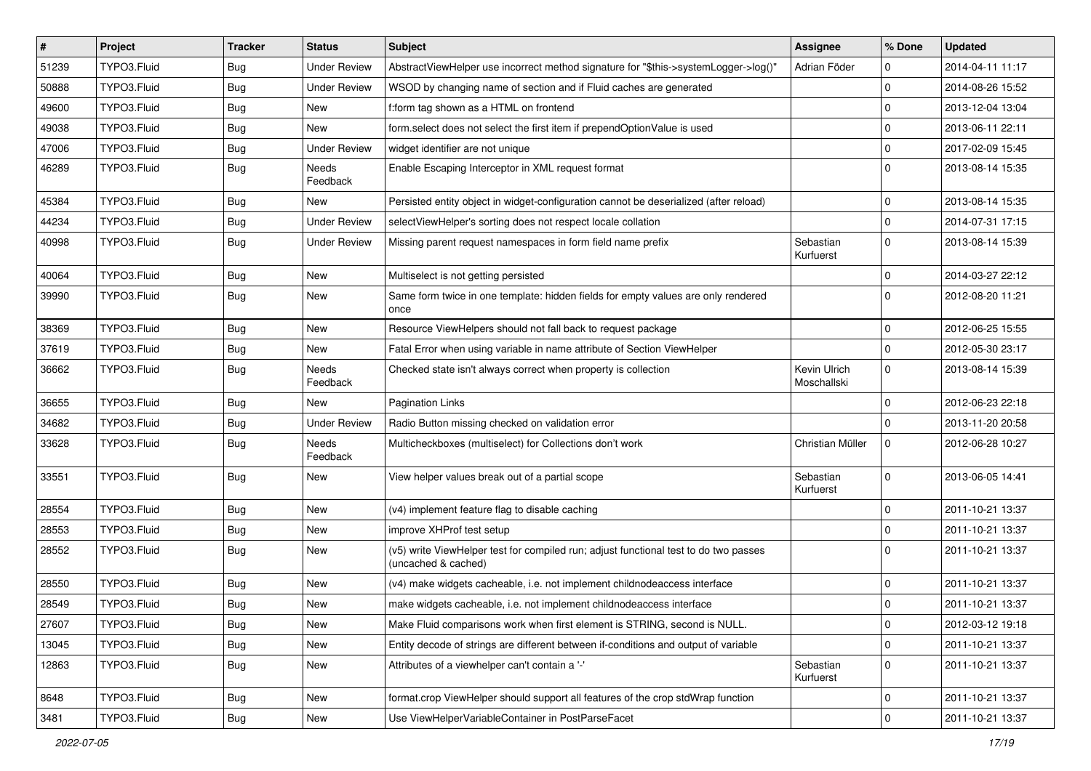| $\vert$ # | Project     | <b>Tracker</b> | <b>Status</b>       | Subject                                                                                                     | Assignee                    | % Done              | <b>Updated</b>   |
|-----------|-------------|----------------|---------------------|-------------------------------------------------------------------------------------------------------------|-----------------------------|---------------------|------------------|
| 51239     | TYPO3.Fluid | Bug            | <b>Under Review</b> | AbstractViewHelper use incorrect method signature for "\$this->systemLogger->log()'                         | Adrian Föder                | 0                   | 2014-04-11 11:17 |
| 50888     | TYPO3.Fluid | <b>Bug</b>     | <b>Under Review</b> | WSOD by changing name of section and if Fluid caches are generated                                          |                             | $\mathbf 0$         | 2014-08-26 15:52 |
| 49600     | TYPO3.Fluid | Bug            | <b>New</b>          | f:form tag shown as a HTML on frontend                                                                      |                             | 0                   | 2013-12-04 13:04 |
| 49038     | TYPO3.Fluid | <b>Bug</b>     | <b>New</b>          | form.select does not select the first item if prependOptionValue is used                                    |                             | $\mathbf 0$         | 2013-06-11 22:11 |
| 47006     | TYPO3.Fluid | Bug            | <b>Under Review</b> | widget identifier are not unique                                                                            |                             | 0                   | 2017-02-09 15:45 |
| 46289     | TYPO3.Fluid | <b>Bug</b>     | Needs<br>Feedback   | Enable Escaping Interceptor in XML request format                                                           |                             | 0                   | 2013-08-14 15:35 |
| 45384     | TYPO3.Fluid | Bug            | <b>New</b>          | Persisted entity object in widget-configuration cannot be deserialized (after reload)                       |                             | 0                   | 2013-08-14 15:35 |
| 44234     | TYPO3.Fluid | <b>Bug</b>     | <b>Under Review</b> | selectViewHelper's sorting does not respect locale collation                                                |                             | $\mathbf 0$         | 2014-07-31 17:15 |
| 40998     | TYPO3.Fluid | <b>Bug</b>     | <b>Under Review</b> | Missing parent request namespaces in form field name prefix                                                 | Sebastian<br>Kurfuerst      | $\mathbf{0}$        | 2013-08-14 15:39 |
| 40064     | TYPO3.Fluid | <b>Bug</b>     | <b>New</b>          | Multiselect is not getting persisted                                                                        |                             | $\mathbf 0$         | 2014-03-27 22:12 |
| 39990     | TYPO3.Fluid | Bug            | <b>New</b>          | Same form twice in one template: hidden fields for empty values are only rendered<br>once                   |                             | 0                   | 2012-08-20 11:21 |
| 38369     | TYPO3.Fluid | <b>Bug</b>     | <b>New</b>          | Resource ViewHelpers should not fall back to request package                                                |                             | 0                   | 2012-06-25 15:55 |
| 37619     | TYPO3.Fluid | <b>Bug</b>     | <b>New</b>          | Fatal Error when using variable in name attribute of Section ViewHelper                                     |                             | $\mathbf 0$         | 2012-05-30 23:17 |
| 36662     | TYPO3.Fluid | <b>Bug</b>     | Needs<br>Feedback   | Checked state isn't always correct when property is collection                                              | Kevin Ulrich<br>Moschallski | $\mathbf 0$         | 2013-08-14 15:39 |
| 36655     | TYPO3.Fluid | <b>Bug</b>     | New                 | Pagination Links                                                                                            |                             | 0                   | 2012-06-23 22:18 |
| 34682     | TYPO3.Fluid | <b>Bug</b>     | <b>Under Review</b> | Radio Button missing checked on validation error                                                            |                             | $\mathbf 0$         | 2013-11-20 20:58 |
| 33628     | TYPO3.Fluid | Bug            | Needs<br>Feedback   | Multicheckboxes (multiselect) for Collections don't work                                                    | Christian Müller            | 0                   | 2012-06-28 10:27 |
| 33551     | TYPO3.Fluid | <b>Bug</b>     | <b>New</b>          | View helper values break out of a partial scope                                                             | Sebastian<br>Kurfuerst      | $\mathbf 0$         | 2013-06-05 14:41 |
| 28554     | TYPO3.Fluid | <b>Bug</b>     | New                 | (v4) implement feature flag to disable caching                                                              |                             | 0                   | 2011-10-21 13:37 |
| 28553     | TYPO3.Fluid | <b>Bug</b>     | <b>New</b>          | improve XHProf test setup                                                                                   |                             | $\mathbf 0$         | 2011-10-21 13:37 |
| 28552     | TYPO3.Fluid | <b>Bug</b>     | <b>New</b>          | (v5) write ViewHelper test for compiled run; adjust functional test to do two passes<br>(uncached & cached) |                             | $\mathbf 0$         | 2011-10-21 13:37 |
| 28550     | TYPO3.Fluid | <b>Bug</b>     | <b>New</b>          | (v4) make widgets cacheable, i.e. not implement childnodeaccess interface                                   |                             | 0                   | 2011-10-21 13:37 |
| 28549     | TYPO3.Fluid | Bug            | New                 | make widgets cacheable, i.e. not implement childnodeaccess interface                                        |                             | 0                   | 2011-10-21 13:37 |
| 27607     | TYPO3.Fluid | <b>Bug</b>     | New                 | Make Fluid comparisons work when first element is STRING, second is NULL.                                   |                             | $\pmb{0}$           | 2012-03-12 19:18 |
| 13045     | TYPO3.Fluid | <b>Bug</b>     | <b>New</b>          | Entity decode of strings are different between if-conditions and output of variable                         |                             | 0                   | 2011-10-21 13:37 |
| 12863     | TYPO3.Fluid | <b>Bug</b>     | New                 | Attributes of a viewhelper can't contain a '-'                                                              | Sebastian<br>Kurfuerst      | 0                   | 2011-10-21 13:37 |
| 8648      | TYPO3.Fluid | <b>Bug</b>     | New                 | format.crop ViewHelper should support all features of the crop stdWrap function                             |                             | 0                   | 2011-10-21 13:37 |
| 3481      | TYPO3.Fluid | Bug            | New                 | Use ViewHelperVariableContainer in PostParseFacet                                                           |                             | $\mathsf{O}\xspace$ | 2011-10-21 13:37 |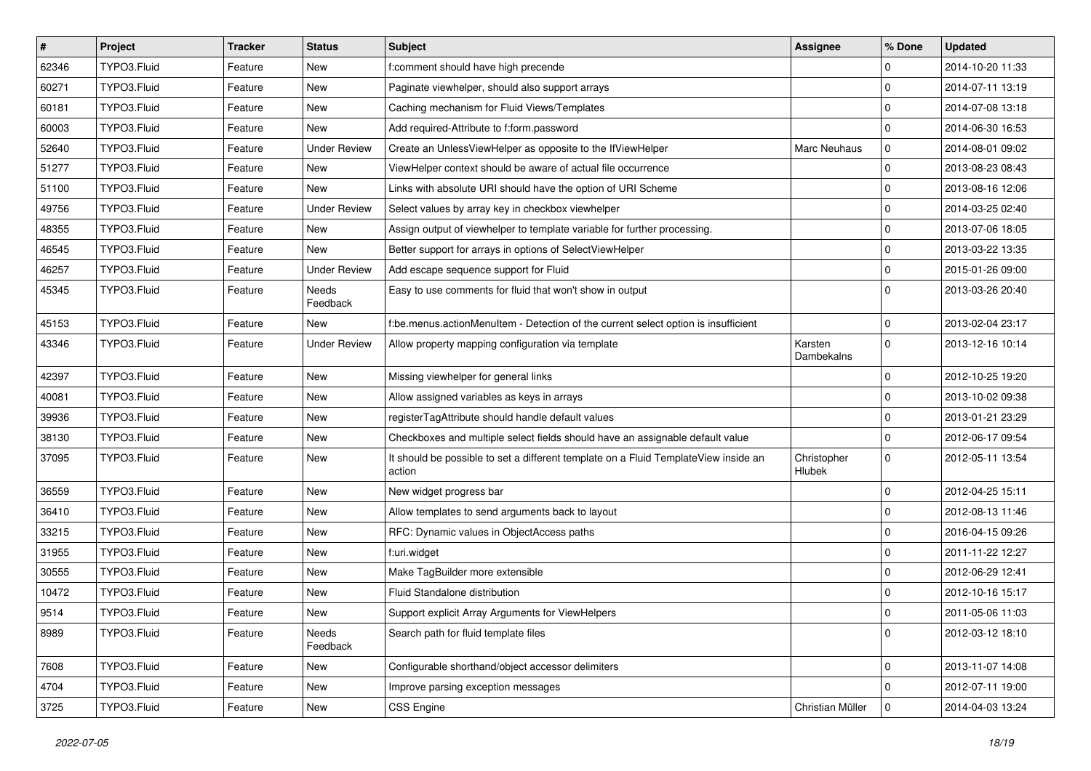| $\sharp$ | Project     | <b>Tracker</b> | <b>Status</b>       | <b>Subject</b>                                                                                | <b>Assignee</b>              | % Done      | <b>Updated</b>   |
|----------|-------------|----------------|---------------------|-----------------------------------------------------------------------------------------------|------------------------------|-------------|------------------|
| 62346    | TYPO3.Fluid | Feature        | New                 | f:comment should have high precende                                                           |                              | 0           | 2014-10-20 11:33 |
| 60271    | TYPO3.Fluid | Feature        | New                 | Paginate viewhelper, should also support arrays                                               |                              | 0           | 2014-07-11 13:19 |
| 60181    | TYPO3.Fluid | Feature        | New                 | Caching mechanism for Fluid Views/Templates                                                   |                              | $\mathbf 0$ | 2014-07-08 13:18 |
| 60003    | TYPO3.Fluid | Feature        | New                 | Add required-Attribute to f:form.password                                                     |                              | 0           | 2014-06-30 16:53 |
| 52640    | TYPO3.Fluid | Feature        | <b>Under Review</b> | Create an UnlessViewHelper as opposite to the IfViewHelper                                    | Marc Neuhaus                 | 0           | 2014-08-01 09:02 |
| 51277    | TYPO3.Fluid | Feature        | New                 | ViewHelper context should be aware of actual file occurrence                                  |                              | $\mathbf 0$ | 2013-08-23 08:43 |
| 51100    | TYPO3.Fluid | Feature        | New                 | Links with absolute URI should have the option of URI Scheme                                  |                              | 0           | 2013-08-16 12:06 |
| 49756    | TYPO3.Fluid | Feature        | <b>Under Review</b> | Select values by array key in checkbox viewhelper                                             |                              | $\mathbf 0$ | 2014-03-25 02:40 |
| 48355    | TYPO3.Fluid | Feature        | New                 | Assign output of viewhelper to template variable for further processing.                      |                              | 0           | 2013-07-06 18:05 |
| 46545    | TYPO3.Fluid | Feature        | New                 | Better support for arrays in options of SelectViewHelper                                      |                              | $\mathbf 0$ | 2013-03-22 13:35 |
| 46257    | TYPO3.Fluid | Feature        | <b>Under Review</b> | Add escape sequence support for Fluid                                                         |                              | $\mathbf 0$ | 2015-01-26 09:00 |
| 45345    | TYPO3.Fluid | Feature        | Needs<br>Feedback   | Easy to use comments for fluid that won't show in output                                      |                              | $\Omega$    | 2013-03-26 20:40 |
| 45153    | TYPO3.Fluid | Feature        | <b>New</b>          | f:be.menus.actionMenuItem - Detection of the current select option is insufficient            |                              | $\mathbf 0$ | 2013-02-04 23:17 |
| 43346    | TYPO3.Fluid | Feature        | <b>Under Review</b> | Allow property mapping configuration via template                                             | Karsten<br>Dambekalns        | $\mathbf 0$ | 2013-12-16 10:14 |
| 42397    | TYPO3.Fluid | Feature        | New                 | Missing viewhelper for general links                                                          |                              | 0           | 2012-10-25 19:20 |
| 40081    | TYPO3.Fluid | Feature        | New                 | Allow assigned variables as keys in arrays                                                    |                              | 0           | 2013-10-02 09:38 |
| 39936    | TYPO3.Fluid | Feature        | New                 | registerTagAttribute should handle default values                                             |                              | $\mathbf 0$ | 2013-01-21 23:29 |
| 38130    | TYPO3.Fluid | Feature        | New                 | Checkboxes and multiple select fields should have an assignable default value                 |                              | $\mathbf 0$ | 2012-06-17 09:54 |
| 37095    | TYPO3.Fluid | Feature        | New                 | It should be possible to set a different template on a Fluid TemplateView inside an<br>action | Christopher<br><b>Hlubek</b> | $\mathbf 0$ | 2012-05-11 13:54 |
| 36559    | TYPO3.Fluid | Feature        | New                 | New widget progress bar                                                                       |                              | 0           | 2012-04-25 15:11 |
| 36410    | TYPO3.Fluid | Feature        | New                 | Allow templates to send arguments back to layout                                              |                              | 0           | 2012-08-13 11:46 |
| 33215    | TYPO3.Fluid | Feature        | New                 | RFC: Dynamic values in ObjectAccess paths                                                     |                              | 0           | 2016-04-15 09:26 |
| 31955    | TYPO3.Fluid | Feature        | New                 | f:uri.widget                                                                                  |                              | $\mathbf 0$ | 2011-11-22 12:27 |
| 30555    | TYPO3.Fluid | Feature        | New                 | Make TagBuilder more extensible                                                               |                              | $\mathbf 0$ | 2012-06-29 12:41 |
| 10472    | TYPO3.Fluid | Feature        | New                 | Fluid Standalone distribution                                                                 |                              | 0           | 2012-10-16 15:17 |
| 9514     | TYPO3.Fluid | Feature        | New                 | Support explicit Array Arguments for ViewHelpers                                              |                              | 0           | 2011-05-06 11:03 |
| 8989     | TYPO3.Fluid | Feature        | Needs<br>Feedback   | Search path for fluid template files                                                          |                              | $\mathbf 0$ | 2012-03-12 18:10 |
| 7608     | TYPO3.Fluid | Feature        | New                 | Configurable shorthand/object accessor delimiters                                             |                              | $\mathbf 0$ | 2013-11-07 14:08 |
| 4704     | TYPO3.Fluid | Feature        | New                 | Improve parsing exception messages                                                            |                              | 0           | 2012-07-11 19:00 |
| 3725     | TYPO3.Fluid | Feature        | New                 | CSS Engine                                                                                    | Christian Müller             | $\mathbf 0$ | 2014-04-03 13:24 |